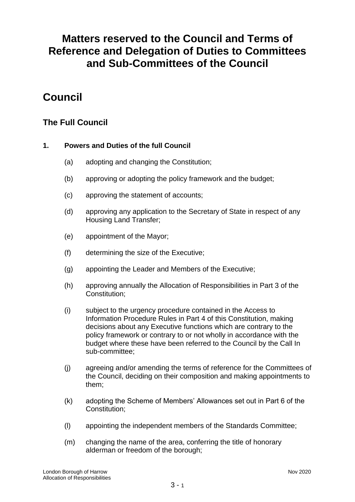# **Matters reserved to the Council and Terms of Reference and Delegation of Duties to Committees and Sub-Committees of the Council**

# **Council**

# **The Full Council**

# **1. Powers and Duties of the full Council**

- (a) adopting and changing the Constitution;
- (b) approving or adopting the policy framework and the budget;
- (c) approving the statement of accounts;
- (d) approving any application to the Secretary of State in respect of any Housing Land Transfer;
- (e) appointment of the Mayor;
- (f) determining the size of the Executive;
- (g) appointing the Leader and Members of the Executive;
- (h) approving annually the Allocation of Responsibilities in Part 3 of the Constitution;
- (i) subject to the urgency procedure contained in the Access to Information Procedure Rules in Part 4 of this Constitution, making decisions about any Executive functions which are contrary to the policy framework or contrary to or not wholly in accordance with the budget where these have been referred to the Council by the Call In sub-committee;
- (j) agreeing and/or amending the terms of reference for the Committees of the Council, deciding on their composition and making appointments to them;
- (k) adopting the Scheme of Members' Allowances set out in Part 6 of the Constitution;
- (l) appointing the independent members of the Standards Committee;
- (m) changing the name of the area, conferring the title of honorary alderman or freedom of the borough;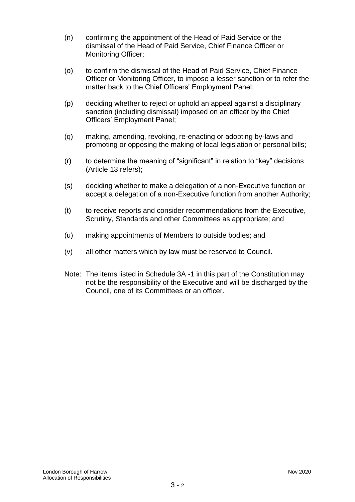- (n) confirming the appointment of the Head of Paid Service or the dismissal of the Head of Paid Service, Chief Finance Officer or Monitoring Officer;
- (o) to confirm the dismissal of the Head of Paid Service, Chief Finance Officer or Monitoring Officer, to impose a lesser sanction or to refer the matter back to the Chief Officers' Employment Panel;
- (p) deciding whether to reject or uphold an appeal against a disciplinary sanction (including dismissal) imposed on an officer by the Chief Officers' Employment Panel;
- (q) making, amending, revoking, re-enacting or adopting by-laws and promoting or opposing the making of local legislation or personal bills;
- (r) to determine the meaning of "significant" in relation to "key" decisions (Article 13 refers);
- (s) deciding whether to make a delegation of a non-Executive function or accept a delegation of a non-Executive function from another Authority;
- (t) to receive reports and consider recommendations from the Executive, Scrutiny, Standards and other Committees as appropriate; and
- (u) making appointments of Members to outside bodies; and
- (v) all other matters which by law must be reserved to Council.
- Note: The items listed in Schedule 3A -1 in this part of the Constitution may not be the responsibility of the Executive and will be discharged by the Council, one of its Committees or an officer.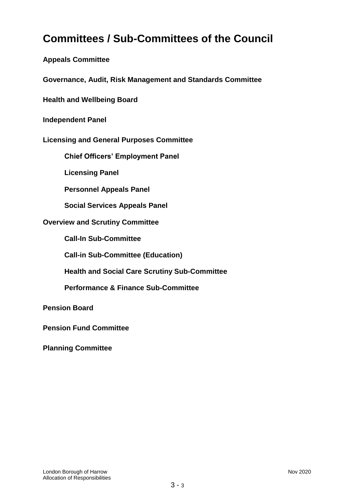# **Committees / Sub-Committees of the Council**

**Appeals Committee**

**Governance, Audit, Risk Management and Standards Committee**

**Health and Wellbeing Board**

**Independent Panel**

**Licensing and General Purposes Committee** 

**Chief Officers' Employment Panel**

**Licensing Panel**

**Personnel Appeals Panel**

**Social Services Appeals Panel**

#### **Overview and Scrutiny Committee**

**Call-In Sub-Committee**

**Call-in Sub-Committee (Education)**

**Health and Social Care Scrutiny Sub-Committee**

**Performance & Finance Sub-Committee**

**Pension Board**

**Pension Fund Committee**

**Planning Committee**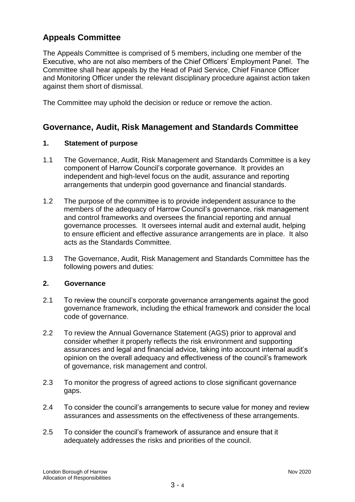# **Appeals Committee**

The Appeals Committee is comprised of 5 members, including one member of the Executive, who are not also members of the Chief Officers' Employment Panel. The Committee shall hear appeals by the Head of Paid Service, Chief Finance Officer and Monitoring Officer under the relevant disciplinary procedure against action taken against them short of dismissal.

The Committee may uphold the decision or reduce or remove the action.

# **Governance, Audit, Risk Management and Standards Committee**

#### **1. Statement of purpose**

- 1.1 The Governance, Audit, Risk Management and Standards Committee is a key component of Harrow Council's corporate governance. It provides an independent and high-level focus on the audit, assurance and reporting arrangements that underpin good governance and financial standards.
- 1.2 The purpose of the committee is to provide independent assurance to the members of the adequacy of Harrow Council's governance, risk management and control frameworks and oversees the financial reporting and annual governance processes. It oversees internal audit and external audit, helping to ensure efficient and effective assurance arrangements are in place. It also acts as the Standards Committee.
- 1.3 The Governance, Audit, Risk Management and Standards Committee has the following powers and duties:

#### **2. Governance**

- 2.1 To review the council's corporate governance arrangements against the good governance framework, including the ethical framework and consider the local code of governance.
- 2.2 To review the Annual Governance Statement (AGS) prior to approval and consider whether it properly reflects the risk environment and supporting assurances and legal and financial advice, taking into account internal audit's opinion on the overall adequacy and effectiveness of the council's framework of governance, risk management and control.
- 2.3 To monitor the progress of agreed actions to close significant governance gaps.
- 2.4 To consider the council's arrangements to secure value for money and review assurances and assessments on the effectiveness of these arrangements.
- 2.5 To consider the council's framework of assurance and ensure that it adequately addresses the risks and priorities of the council.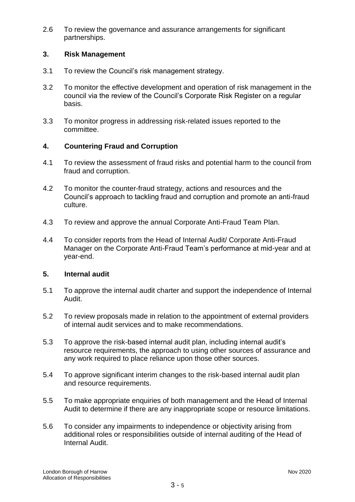2.6 To review the governance and assurance arrangements for significant partnerships.

### **3. Risk Management**

- 3.1 To review the Council's risk management strategy.
- 3.2 To monitor the effective development and operation of risk management in the council via the review of the Council's Corporate Risk Register on a regular basis.
- 3.3 To monitor progress in addressing risk-related issues reported to the committee.

## **4. Countering Fraud and Corruption**

- 4.1 To review the assessment of fraud risks and potential harm to the council from fraud and corruption.
- 4.2 To monitor the counter-fraud strategy, actions and resources and the Council's approach to tackling fraud and corruption and promote an anti-fraud culture.
- 4.3 To review and approve the annual Corporate Anti-Fraud Team Plan.
- 4.4 To consider reports from the Head of Internal Audit/ Corporate Anti-Fraud Manager on the Corporate Anti-Fraud Team's performance at mid-year and at year-end.

### **5. Internal audit**

- 5.1 To approve the internal audit charter and support the independence of Internal Audit.
- 5.2 To review proposals made in relation to the appointment of external providers of internal audit services and to make recommendations.
- 5.3 To approve the risk-based internal audit plan, including internal audit's resource requirements, the approach to using other sources of assurance and any work required to place reliance upon those other sources.
- 5.4 To approve significant interim changes to the risk-based internal audit plan and resource requirements.
- 5.5 To make appropriate enquiries of both management and the Head of Internal Audit to determine if there are any inappropriate scope or resource limitations.
- 5.6 To consider any impairments to independence or objectivity arising from additional roles or responsibilities outside of internal auditing of the Head of Internal Audit.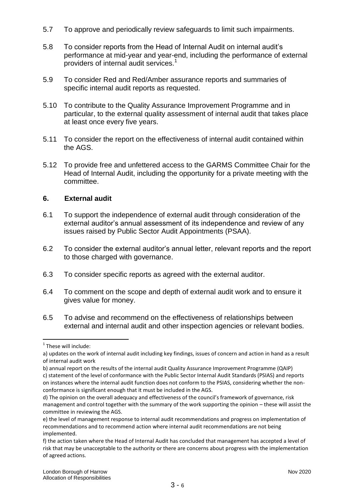- 5.7 To approve and periodically review safeguards to limit such impairments.
- 5.8 To consider reports from the Head of Internal Audit on internal audit's performance at mid-year and year-end, including the performance of external providers of internal audit services.<sup>1</sup>
- 5.9 To consider Red and Red/Amber assurance reports and summaries of specific internal audit reports as requested.
- 5.10 To contribute to the Quality Assurance Improvement Programme and in particular, to the external quality assessment of internal audit that takes place at least once every five years.
- 5.11 To consider the report on the effectiveness of internal audit contained within the AGS.
- 5.12 To provide free and unfettered access to the GARMS Committee Chair for the Head of Internal Audit, including the opportunity for a private meeting with the committee.

## **6. External audit**

- 6.1 To support the independence of external audit through consideration of the external auditor's annual assessment of its independence and review of any issues raised by Public Sector Audit Appointments (PSAA).
- 6.2 To consider the external auditor's annual letter, relevant reports and the report to those charged with governance.
- 6.3 To consider specific reports as agreed with the external auditor.
- 6.4 To comment on the scope and depth of external audit work and to ensure it gives value for money.
- 6.5 To advise and recommend on the effectiveness of relationships between external and internal audit and other inspection agencies or relevant bodies.

1

<sup>&</sup>lt;sup>1</sup> These will include:

a) updates on the work of internal audit including key findings, issues of concern and action in hand as a result of internal audit work

b) annual report on the results of the internal audit Quality Assurance Improvement Programme (QAIP) c) statement of the level of conformance with the Public Sector Internal Audit Standards (PSIAS) and reports on instances where the internal audit function does not conform to the PSIAS, considering whether the nonconformance is significant enough that it must be included in the AGS.

d) The opinion on the overall adequacy and effectiveness of the council's framework of governance, risk management and control together with the summary of the work supporting the opinion – these will assist the committee in reviewing the AGS.

e) the level of management response to internal audit recommendations and progress on implementation of recommendations and to recommend action where internal audit recommendations are not being implemented.

f) the action taken where the Head of Internal Audit has concluded that management has accepted a level of risk that may be unacceptable to the authority or there are concerns about progress with the implementation of agreed actions.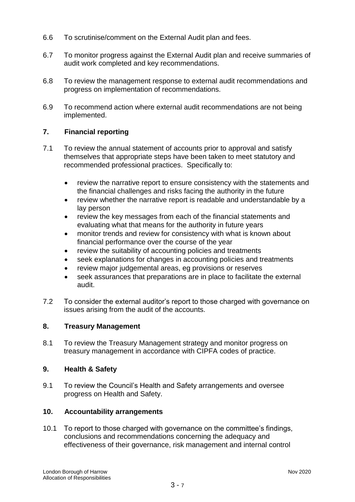- 6.6 To scrutinise/comment on the External Audit plan and fees.
- 6.7 To monitor progress against the External Audit plan and receive summaries of audit work completed and key recommendations.
- 6.8 To review the management response to external audit recommendations and progress on implementation of recommendations.
- 6.9 To recommend action where external audit recommendations are not being implemented.

# **7. Financial reporting**

- 7.1 To review the annual statement of accounts prior to approval and satisfy themselves that appropriate steps have been taken to meet statutory and recommended professional practices. Specifically to:
	- review the narrative report to ensure consistency with the statements and the financial challenges and risks facing the authority in the future
	- review whether the narrative report is readable and understandable by a lay person
	- review the key messages from each of the financial statements and evaluating what that means for the authority in future years
	- monitor trends and review for consistency with what is known about financial performance over the course of the year
	- review the suitability of accounting policies and treatments
	- seek explanations for changes in accounting policies and treatments
	- review major judgemental areas, eg provisions or reserves
	- seek assurances that preparations are in place to facilitate the external audit.
- 7.2 To consider the external auditor's report to those charged with governance on issues arising from the audit of the accounts.

### **8. Treasury Management**

8.1 To review the Treasury Management strategy and monitor progress on treasury management in accordance with CIPFA codes of practice.

### **9. Health & Safety**

9.1 To review the Council's Health and Safety arrangements and oversee progress on Health and Safety.

### **10. Accountability arrangements**

10.1 To report to those charged with governance on the committee's findings, conclusions and recommendations concerning the adequacy and effectiveness of their governance, risk management and internal control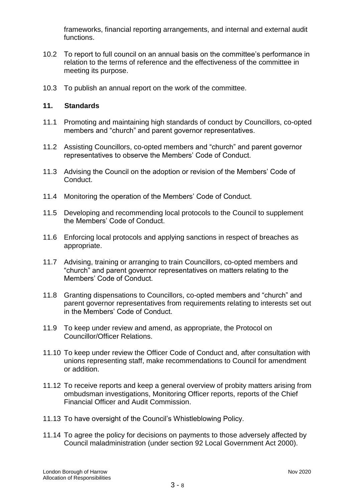frameworks, financial reporting arrangements, and internal and external audit functions.

- 10.2 To report to full council on an annual basis on the committee's performance in relation to the terms of reference and the effectiveness of the committee in meeting its purpose.
- 10.3 To publish an annual report on the work of the committee.

## **11. Standards**

- 11.1 Promoting and maintaining high standards of conduct by Councillors, co-opted members and "church" and parent governor representatives.
- 11.2 Assisting Councillors, co-opted members and "church" and parent governor representatives to observe the Members' Code of Conduct.
- 11.3 Advising the Council on the adoption or revision of the Members' Code of Conduct.
- 11.4 Monitoring the operation of the Members' Code of Conduct.
- 11.5 Developing and recommending local protocols to the Council to supplement the Members' Code of Conduct.
- 11.6 Enforcing local protocols and applying sanctions in respect of breaches as appropriate.
- 11.7 Advising, training or arranging to train Councillors, co-opted members and "church" and parent governor representatives on matters relating to the Members' Code of Conduct.
- 11.8 Granting dispensations to Councillors, co-opted members and "church" and parent governor representatives from requirements relating to interests set out in the Members' Code of Conduct.
- 11.9 To keep under review and amend, as appropriate, the Protocol on Councillor/Officer Relations.
- 11.10 To keep under review the Officer Code of Conduct and, after consultation with unions representing staff, make recommendations to Council for amendment or addition.
- 11.12 To receive reports and keep a general overview of probity matters arising from ombudsman investigations, Monitoring Officer reports, reports of the Chief Financial Officer and Audit Commission.
- 11.13 To have oversight of the Council's Whistleblowing Policy.
- 11.14 To agree the policy for decisions on payments to those adversely affected by Council maladministration (under section 92 Local Government Act 2000).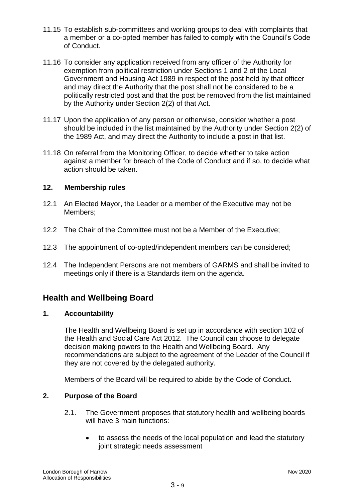- 11.15 To establish sub-committees and working groups to deal with complaints that a member or a co-opted member has failed to comply with the Council's Code of Conduct.
- 11.16 To consider any application received from any officer of the Authority for exemption from political restriction under Sections 1 and 2 of the Local Government and Housing Act 1989 in respect of the post held by that officer and may direct the Authority that the post shall not be considered to be a politically restricted post and that the post be removed from the list maintained by the Authority under Section 2(2) of that Act.
- 11.17 Upon the application of any person or otherwise, consider whether a post should be included in the list maintained by the Authority under Section 2(2) of the 1989 Act, and may direct the Authority to include a post in that list.
- 11.18 On referral from the Monitoring Officer, to decide whether to take action against a member for breach of the Code of Conduct and if so, to decide what action should be taken.

## **12. Membership rules**

- 12.1 An Elected Mayor, the Leader or a member of the Executive may not be Members;
- 12.2 The Chair of the Committee must not be a Member of the Executive;
- 12.3 The appointment of co-opted/independent members can be considered;
- 12.4 The Independent Persons are not members of GARMS and shall be invited to meetings only if there is a Standards item on the agenda.

# **Health and Wellbeing Board**

### **1. Accountability**

The Health and Wellbeing Board is set up in accordance with section 102 of the Health and Social Care Act 2012. The Council can choose to delegate decision making powers to the Health and Wellbeing Board. Any recommendations are subject to the agreement of the Leader of the Council if they are not covered by the delegated authority.

Members of the Board will be required to abide by the Code of Conduct.

### **2. Purpose of the Board**

- 2.1. The Government proposes that statutory health and wellbeing boards will have 3 main functions:
	- to assess the needs of the local population and lead the statutory joint strategic needs assessment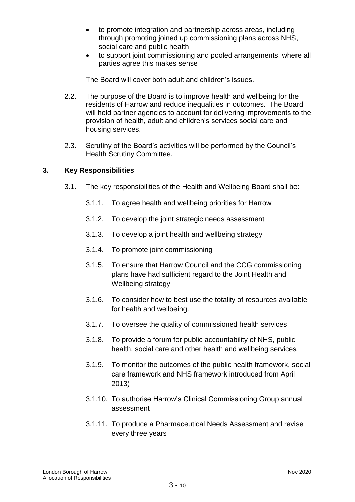- to promote integration and partnership across areas, including through promoting joined up commissioning plans across NHS, social care and public health
- to support joint commissioning and pooled arrangements, where all parties agree this makes sense

The Board will cover both adult and children's issues.

- 2.2. The purpose of the Board is to improve health and wellbeing for the residents of Harrow and reduce inequalities in outcomes. The Board will hold partner agencies to account for delivering improvements to the provision of health, adult and children's services social care and housing services.
- 2.3. Scrutiny of the Board's activities will be performed by the Council's Health Scrutiny Committee.

## **3. Key Responsibilities**

- 3.1. The key responsibilities of the Health and Wellbeing Board shall be:
	- 3.1.1. To agree health and wellbeing priorities for Harrow
	- 3.1.2. To develop the joint strategic needs assessment
	- 3.1.3. To develop a joint health and wellbeing strategy
	- 3.1.4. To promote joint commissioning
	- 3.1.5. To ensure that Harrow Council and the CCG commissioning plans have had sufficient regard to the Joint Health and Wellbeing strategy
	- 3.1.6. To consider how to best use the totality of resources available for health and wellbeing.
	- 3.1.7. To oversee the quality of commissioned health services
	- 3.1.8. To provide a forum for public accountability of NHS, public health, social care and other health and wellbeing services
	- 3.1.9. To monitor the outcomes of the public health framework, social care framework and NHS framework introduced from April 2013)
	- 3.1.10. To authorise Harrow's Clinical Commissioning Group annual assessment
	- 3.1.11. To produce a Pharmaceutical Needs Assessment and revise every three years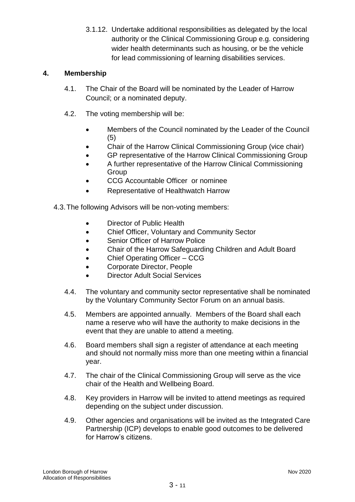3.1.12. Undertake additional responsibilities as delegated by the local authority or the Clinical Commissioning Group e.g. considering wider health determinants such as housing, or be the vehicle for lead commissioning of learning disabilities services.

# **4. Membership**

- 4.1. The Chair of the Board will be nominated by the Leader of Harrow Council; or a nominated deputy.
- 4.2. The voting membership will be:
	- Members of the Council nominated by the Leader of the Council (5)
	- Chair of the Harrow Clinical Commissioning Group (vice chair)
	- GP representative of the Harrow Clinical Commissioning Group
	- A further representative of the Harrow Clinical Commissioning **Group**
	- CCG Accountable Officer or nominee
	- Representative of Healthwatch Harrow
- 4.3.The following Advisors will be non-voting members:
	- Director of Public Health
	- Chief Officer, Voluntary and Community Sector
	- Senior Officer of Harrow Police
	- Chair of the Harrow Safeguarding Children and Adult Board
	- Chief Operating Officer CCG
	- Corporate Director, People
	- Director Adult Social Services
	- 4.4. The voluntary and community sector representative shall be nominated by the Voluntary Community Sector Forum on an annual basis.
	- 4.5. Members are appointed annually. Members of the Board shall each name a reserve who will have the authority to make decisions in the event that they are unable to attend a meeting.
	- 4.6. Board members shall sign a register of attendance at each meeting and should not normally miss more than one meeting within a financial year.
	- 4.7. The chair of the Clinical Commissioning Group will serve as the vice chair of the Health and Wellbeing Board.
	- 4.8. Key providers in Harrow will be invited to attend meetings as required depending on the subject under discussion.
	- 4.9. Other agencies and organisations will be invited as the Integrated Care Partnership (ICP) develops to enable good outcomes to be delivered for Harrow's citizens.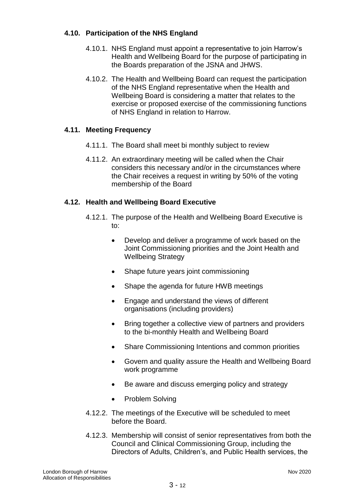# **4.10. Participation of the NHS England**

- 4.10.1. NHS England must appoint a representative to join Harrow's Health and Wellbeing Board for the purpose of participating in the Boards preparation of the JSNA and JHWS.
- 4.10.2. The Health and Wellbeing Board can request the participation of the NHS England representative when the Health and Wellbeing Board is considering a matter that relates to the exercise or proposed exercise of the commissioning functions of NHS England in relation to Harrow.

# **4.11. Meeting Frequency**

- 4.11.1. The Board shall meet bi monthly subject to review
- 4.11.2. An extraordinary meeting will be called when the Chair considers this necessary and/or in the circumstances where the Chair receives a request in writing by 50% of the voting membership of the Board

# **4.12. Health and Wellbeing Board Executive**

- 4.12.1. The purpose of the Health and Wellbeing Board Executive is to:
	- Develop and deliver a programme of work based on the Joint Commissioning priorities and the Joint Health and Wellbeing Strategy
	- Shape future years joint commissioning
	- Shape the agenda for future HWB meetings
	- Engage and understand the views of different organisations (including providers)
	- Bring together a collective view of partners and providers to the bi-monthly Health and Wellbeing Board
	- Share Commissioning Intentions and common priorities
	- Govern and quality assure the Health and Wellbeing Board work programme
	- Be aware and discuss emerging policy and strategy
	- Problem Solving
- 4.12.2. The meetings of the Executive will be scheduled to meet before the Board.
- 4.12.3. Membership will consist of senior representatives from both the Council and Clinical Commissioning Group, including the Directors of Adults, Children's, and Public Health services, the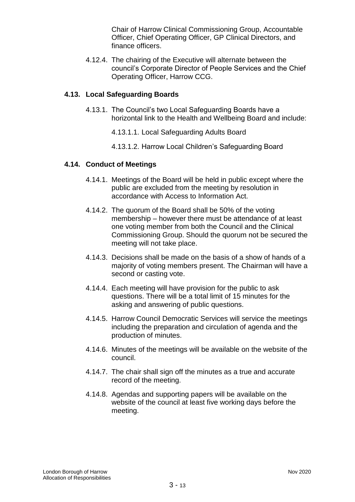Chair of Harrow Clinical Commissioning Group, Accountable Officer, Chief Operating Officer, GP Clinical Directors, and finance officers.

4.12.4. The chairing of the Executive will alternate between the council's Corporate Director of People Services and the Chief Operating Officer, Harrow CCG.

#### **4.13. Local Safeguarding Boards**

- 4.13.1. The Council's two Local Safeguarding Boards have a horizontal link to the Health and Wellbeing Board and include:
	- 4.13.1.1. Local Safeguarding Adults Board
	- 4.13.1.2. Harrow Local Children's Safeguarding Board

#### **4.14. Conduct of Meetings**

- 4.14.1. Meetings of the Board will be held in public except where the public are excluded from the meeting by resolution in accordance with Access to Information Act.
- 4.14.2. The quorum of the Board shall be 50% of the voting membership – however there must be attendance of at least one voting member from both the Council and the Clinical Commissioning Group. Should the quorum not be secured the meeting will not take place.
- 4.14.3. Decisions shall be made on the basis of a show of hands of a majority of voting members present. The Chairman will have a second or casting vote.
- 4.14.4. Each meeting will have provision for the public to ask questions. There will be a total limit of 15 minutes for the asking and answering of public questions.
- 4.14.5. Harrow Council Democratic Services will service the meetings including the preparation and circulation of agenda and the production of minutes.
- 4.14.6. Minutes of the meetings will be available on the website of the council.
- 4.14.7. The chair shall sign off the minutes as a true and accurate record of the meeting.
- 4.14.8. Agendas and supporting papers will be available on the website of the council at least five working days before the meeting.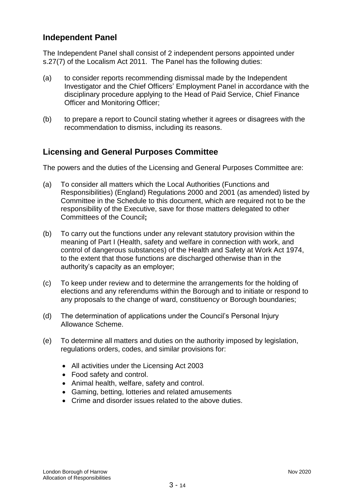# **Independent Panel**

The Independent Panel shall consist of 2 independent persons appointed under s.27(7) of the Localism Act 2011. The Panel has the following duties:

- (a) to consider reports recommending dismissal made by the Independent Investigator and the Chief Officers' Employment Panel in accordance with the disciplinary procedure applying to the Head of Paid Service, Chief Finance Officer and Monitoring Officer;
- (b) to prepare a report to Council stating whether it agrees or disagrees with the recommendation to dismiss, including its reasons.

# **Licensing and General Purposes Committee**

The powers and the duties of the Licensing and General Purposes Committee are:

- (a) To consider all matters which the Local Authorities (Functions and Responsibilities) (England) Regulations 2000 and 2001 (as amended) listed by Committee in the Schedule to this document, which are required not to be the responsibility of the Executive, save for those matters delegated to other Committees of the Council**;**
- (b) To carry out the functions under any relevant statutory provision within the meaning of Part I (Health, safety and welfare in connection with work, and control of dangerous substances) of the Health and Safety at Work Act 1974, to the extent that those functions are discharged otherwise than in the authority's capacity as an employer;
- (c) To keep under review and to determine the arrangements for the holding of elections and any referendums within the Borough and to initiate or respond to any proposals to the change of ward, constituency or Borough boundaries;
- (d) The determination of applications under the Council's Personal Injury Allowance Scheme.
- (e) To determine all matters and duties on the authority imposed by legislation, regulations orders, codes, and similar provisions for:
	- All activities under the Licensing Act 2003
	- Food safety and control.
	- Animal health, welfare, safety and control.
	- Gaming, betting, lotteries and related amusements
	- Crime and disorder issues related to the above duties.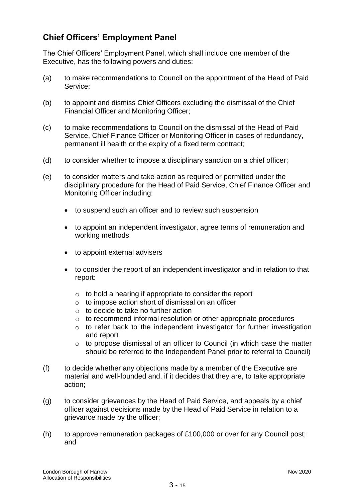# **Chief Officers' Employment Panel**

The Chief Officers' Employment Panel, which shall include one member of the Executive, has the following powers and duties:

- (a) to make recommendations to Council on the appointment of the Head of Paid Service;
- (b) to appoint and dismiss Chief Officers excluding the dismissal of the Chief Financial Officer and Monitoring Officer;
- (c) to make recommendations to Council on the dismissal of the Head of Paid Service, Chief Finance Officer or Monitoring Officer in cases of redundancy, permanent ill health or the expiry of a fixed term contract;
- (d) to consider whether to impose a disciplinary sanction on a chief officer;
- (e) to consider matters and take action as required or permitted under the disciplinary procedure for the Head of Paid Service, Chief Finance Officer and Monitoring Officer including:
	- to suspend such an officer and to review such suspension
	- to appoint an independent investigator, agree terms of remuneration and working methods
	- to appoint external advisers
	- to consider the report of an independent investigator and in relation to that report:
		- o to hold a hearing if appropriate to consider the report
		- o to impose action short of dismissal on an officer
		- o to decide to take no further action
		- o to recommend informal resolution or other appropriate procedures
		- o to refer back to the independent investigator for further investigation and report
		- o to propose dismissal of an officer to Council (in which case the matter should be referred to the Independent Panel prior to referral to Council)
- (f) to decide whether any objections made by a member of the Executive are material and well-founded and, if it decides that they are, to take appropriate action;
- (g) to consider grievances by the Head of Paid Service, and appeals by a chief officer against decisions made by the Head of Paid Service in relation to a grievance made by the officer;
- (h) to approve remuneration packages of £100,000 or over for any Council post; and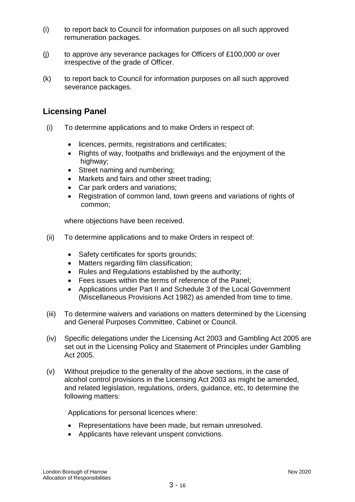- (i) to report back to Council for information purposes on all such approved remuneration packages.
- (j) to approve any severance packages for Officers of £100,000 or over irrespective of the grade of Officer.
- (k) to report back to Council for information purposes on all such approved severance packages.

# **Licensing Panel**

- (i) To determine applications and to make Orders in respect of:
	- licences, permits, registrations and certificates;
	- Rights of way, footpaths and bridleways and the enjoyment of the highway;
	- Street naming and numbering;
	- Markets and fairs and other street trading;
	- Car park orders and variations;
	- Registration of common land, town greens and variations of rights of common;

where objections have been received.

- (ii) To determine applications and to make Orders in respect of:
	- Safety certificates for sports grounds;
	- Matters regarding film classification;
	- Rules and Regulations established by the authority;
	- Fees issues within the terms of reference of the Panel:
	- Applications under Part II and Schedule 3 of the Local Government (Miscellaneous Provisions Act 1982) as amended from time to time.
- (iii) To determine waivers and variations on matters determined by the Licensing and General Purposes Committee, Cabinet or Council.
- (iv) Specific delegations under the Licensing Act 2003 and Gambling Act 2005 are set out in the Licensing Policy and Statement of Principles under Gambling Act 2005.
- (v) Without prejudice to the generality of the above sections, in the case of alcohol control provisions in the Licensing Act 2003 as might be amended, and related legislation, regulations, orders, guidance, etc, to determine the following matters:

Applications for personal licences where:

- Representations have been made, but remain unresolved.
- Applicants have relevant unspent convictions.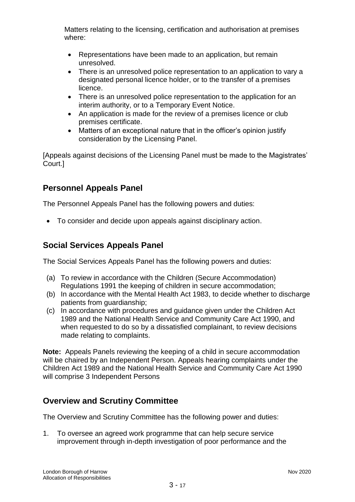Matters relating to the licensing, certification and authorisation at premises where:

- Representations have been made to an application, but remain unresolved.
- There is an unresolved police representation to an application to vary a designated personal licence holder, or to the transfer of a premises licence.
- There is an unresolved police representation to the application for an interim authority, or to a Temporary Event Notice.
- An application is made for the review of a premises licence or club premises certificate.
- Matters of an exceptional nature that in the officer's opinion justify consideration by the Licensing Panel.

[Appeals against decisions of the Licensing Panel must be made to the Magistrates' Court.]

# **Personnel Appeals Panel**

The Personnel Appeals Panel has the following powers and duties:

To consider and decide upon appeals against disciplinary action.

# **Social Services Appeals Panel**

The Social Services Appeals Panel has the following powers and duties:

- (a) To review in accordance with the Children (Secure Accommodation) Regulations 1991 the keeping of children in secure accommodation;
- (b) In accordance with the Mental Health Act 1983, to decide whether to discharge patients from guardianship;
- (c) In accordance with procedures and guidance given under the Children Act 1989 and the National Health Service and Community Care Act 1990, and when requested to do so by a dissatisfied complainant, to review decisions made relating to complaints.

**Note:** Appeals Panels reviewing the keeping of a child in secure accommodation will be chaired by an Independent Person. Appeals hearing complaints under the Children Act 1989 and the National Health Service and Community Care Act 1990 will comprise 3 Independent Persons

# **Overview and Scrutiny Committee**

The Overview and Scrutiny Committee has the following power and duties:

1. To oversee an agreed work programme that can help secure service improvement through in-depth investigation of poor performance and the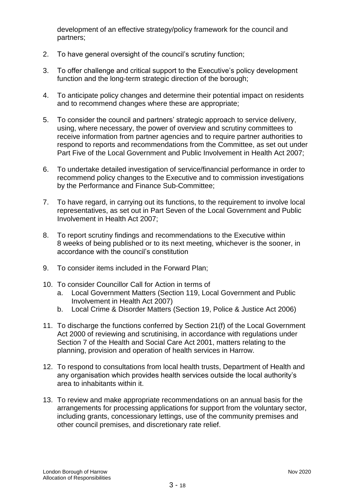development of an effective strategy/policy framework for the council and partners;

- 2. To have general oversight of the council's scrutiny function;
- 3. To offer challenge and critical support to the Executive's policy development function and the long-term strategic direction of the borough;
- 4. To anticipate policy changes and determine their potential impact on residents and to recommend changes where these are appropriate;
- 5. To consider the council and partners' strategic approach to service delivery, using, where necessary, the power of overview and scrutiny committees to receive information from partner agencies and to require partner authorities to respond to reports and recommendations from the Committee, as set out under Part Five of the Local Government and Public Involvement in Health Act 2007;
- 6. To undertake detailed investigation of service/financial performance in order to recommend policy changes to the Executive and to commission investigations by the Performance and Finance Sub-Committee;
- 7. To have regard, in carrying out its functions, to the requirement to involve local representatives, as set out in Part Seven of the Local Government and Public Involvement in Health Act 2007;
- 8. To report scrutiny findings and recommendations to the Executive within 8 weeks of being published or to its next meeting, whichever is the sooner, in accordance with the council's constitution
- 9. To consider items included in the Forward Plan;
- 10. To consider Councillor Call for Action in terms of
	- a. Local Government Matters (Section 119, Local Government and Public Involvement in Health Act 2007)
	- b. Local Crime & Disorder Matters (Section 19, Police & Justice Act 2006)
- 11. To discharge the functions conferred by Section 21(f) of the Local Government Act 2000 of reviewing and scrutinising, in accordance with regulations under Section 7 of the Health and Social Care Act 2001, matters relating to the planning, provision and operation of health services in Harrow.
- 12. To respond to consultations from local health trusts, Department of Health and any organisation which provides health services outside the local authority's area to inhabitants within it.
- 13. To review and make appropriate recommendations on an annual basis for the arrangements for processing applications for support from the voluntary sector, including grants, concessionary lettings, use of the community premises and other council premises, and discretionary rate relief.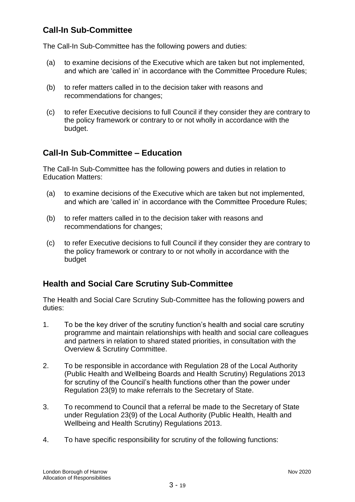# **Call-In Sub-Committee**

The Call-In Sub-Committee has the following powers and duties:

- (a) to examine decisions of the Executive which are taken but not implemented, and which are 'called in' in accordance with the Committee Procedure Rules;
- (b) to refer matters called in to the decision taker with reasons and recommendations for changes;
- (c) to refer Executive decisions to full Council if they consider they are contrary to the policy framework or contrary to or not wholly in accordance with the budget.

# **Call-In Sub-Committee – Education**

The Call-In Sub-Committee has the following powers and duties in relation to Education Matters:

- (a) to examine decisions of the Executive which are taken but not implemented, and which are 'called in' in accordance with the Committee Procedure Rules;
- (b) to refer matters called in to the decision taker with reasons and recommendations for changes;
- (c) to refer Executive decisions to full Council if they consider they are contrary to the policy framework or contrary to or not wholly in accordance with the budget

# **Health and Social Care Scrutiny Sub-Committee**

The Health and Social Care Scrutiny Sub-Committee has the following powers and duties:

- 1. To be the key driver of the scrutiny function's health and social care scrutiny programme and maintain relationships with health and social care colleagues and partners in relation to shared stated priorities, in consultation with the Overview & Scrutiny Committee.
- 2. To be responsible in accordance with Regulation 28 of the Local Authority (Public Health and Wellbeing Boards and Health Scrutiny) Regulations 2013 for scrutiny of the Council's health functions other than the power under Regulation 23(9) to make referrals to the Secretary of State.
- 3. To recommend to Council that a referral be made to the Secretary of State under Regulation 23(9) of the Local Authority (Public Health, Health and Wellbeing and Health Scrutiny) Regulations 2013.
- 4. To have specific responsibility for scrutiny of the following functions: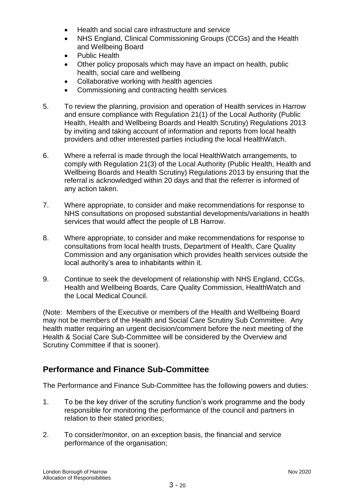- Health and social care infrastructure and service
- NHS England, Clinical Commissioning Groups (CCGs) and the Health and Wellbeing Board
- Public Health
- Other policy proposals which may have an impact on health, public health, social care and wellbeing
- Collaborative working with health agencies
- Commissioning and contracting health services
- 5. To review the planning, provision and operation of Health services in Harrow and ensure compliance with Regulation 21(1) of the Local Authority (Public Health, Health and Wellbeing Boards and Health Scrutiny) Regulations 2013 by inviting and taking account of information and reports from local health providers and other interested parties including the local HealthWatch.
- 6. Where a referral is made through the local HealthWatch arrangements, to comply with Regulation 21(3) of the Local Authority (Public Health, Health and Wellbeing Boards and Health Scrutiny) Regulations 2013 by ensuring that the referral is acknowledged within 20 days and that the referrer is informed of any action taken.
- 7. Where appropriate, to consider and make recommendations for response to NHS consultations on proposed substantial developments/variations in health services that would affect the people of LB Harrow.
- 8. Where appropriate, to consider and make recommendations for response to consultations from local health trusts, Department of Health, Care Quality Commission and any organisation which provides health services outside the local authority's area to inhabitants within it.
- 9. Continue to seek the development of relationship with NHS England, CCGs, Health and Wellbeing Boards, Care Quality Commission, HealthWatch and the Local Medical Council.

(Note: Members of the Executive or members of the Health and Wellbeing Board may not be members of the Health and Social Care Scrutiny Sub Committee. Any health matter requiring an urgent decision/comment before the next meeting of the Health & Social Care Sub-Committee will be considered by the Overview and Scrutiny Committee if that is sooner).

# **Performance and Finance Sub-Committee**

The Performance and Finance Sub-Committee has the following powers and duties:

- 1. To be the key driver of the scrutiny function's work programme and the body responsible for monitoring the performance of the council and partners in relation to their stated priorities;
- 2. To consider/monitor, on an exception basis, the financial and service performance of the organisation;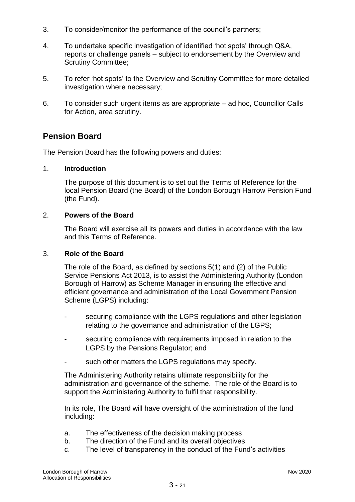- 3. To consider/monitor the performance of the council's partners;
- 4. To undertake specific investigation of identified 'hot spots' through Q&A, reports or challenge panels – subject to endorsement by the Overview and Scrutiny Committee;
- 5. To refer 'hot spots' to the Overview and Scrutiny Committee for more detailed investigation where necessary;
- 6. To consider such urgent items as are appropriate ad hoc, Councillor Calls for Action, area scrutiny.

# **Pension Board**

The Pension Board has the following powers and duties:

#### 1. **Introduction**

The purpose of this document is to set out the Terms of Reference for the local Pension Board (the Board) of the London Borough Harrow Pension Fund (the Fund).

#### 2. **Powers of the Board**

The Board will exercise all its powers and duties in accordance with the law and this Terms of Reference.

#### 3. **Role of the Board**

The role of the Board, as defined by sections 5(1) and (2) of the Public Service Pensions Act 2013, is to assist the Administering Authority (London Borough of Harrow) as Scheme Manager in ensuring the effective and efficient governance and administration of the Local Government Pension Scheme (LGPS) including:

- securing compliance with the LGPS regulations and other legislation relating to the governance and administration of the LGPS;
- securing compliance with requirements imposed in relation to the LGPS by the Pensions Regulator; and
- such other matters the LGPS regulations may specify.

The Administering Authority retains ultimate responsibility for the administration and governance of the scheme. The role of the Board is to support the Administering Authority to fulfil that responsibility.

In its role, The Board will have oversight of the administration of the fund including:

- a. The effectiveness of the decision making process
- b. The direction of the Fund and its overall objectives
- c. The level of transparency in the conduct of the Fund's activities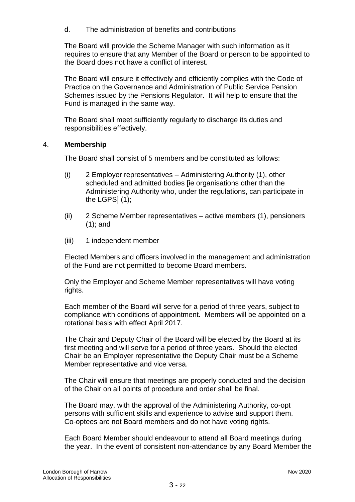d. The administration of benefits and contributions

The Board will provide the Scheme Manager with such information as it requires to ensure that any Member of the Board or person to be appointed to the Board does not have a conflict of interest.

The Board will ensure it effectively and efficiently complies with the Code of Practice on the Governance and Administration of Public Service Pension Schemes issued by the Pensions Regulator. It will help to ensure that the Fund is managed in the same way.

The Board shall meet sufficiently regularly to discharge its duties and responsibilities effectively.

### 4. **Membership**

The Board shall consist of 5 members and be constituted as follows:

- (i) 2 Employer representatives Administering Authority (1), other scheduled and admitted bodies [ie organisations other than the Administering Authority who, under the regulations, can participate in the LGPS $(1)$ ;
- (ii) 2 Scheme Member representatives active members (1), pensioners (1); and
- (iii) 1 independent member

Elected Members and officers involved in the management and administration of the Fund are not permitted to become Board members.

Only the Employer and Scheme Member representatives will have voting rights.

Each member of the Board will serve for a period of three years, subject to compliance with conditions of appointment. Members will be appointed on a rotational basis with effect April 2017.

The Chair and Deputy Chair of the Board will be elected by the Board at its first meeting and will serve for a period of three years. Should the elected Chair be an Employer representative the Deputy Chair must be a Scheme Member representative and vice versa.

The Chair will ensure that meetings are properly conducted and the decision of the Chair on all points of procedure and order shall be final.

The Board may, with the approval of the Administering Authority, co-opt persons with sufficient skills and experience to advise and support them. Co-optees are not Board members and do not have voting rights.

Each Board Member should endeavour to attend all Board meetings during the year. In the event of consistent non-attendance by any Board Member the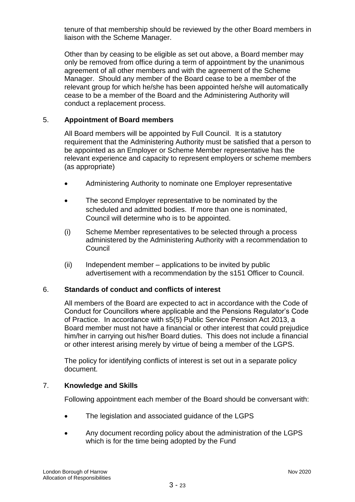tenure of that membership should be reviewed by the other Board members in liaison with the Scheme Manager.

Other than by ceasing to be eligible as set out above, a Board member may only be removed from office during a term of appointment by the unanimous agreement of all other members and with the agreement of the Scheme Manager. Should any member of the Board cease to be a member of the relevant group for which he/she has been appointed he/she will automatically cease to be a member of the Board and the Administering Authority will conduct a replacement process.

## 5. **Appointment of Board members**

All Board members will be appointed by Full Council. It is a statutory requirement that the Administering Authority must be satisfied that a person to be appointed as an Employer or Scheme Member representative has the relevant experience and capacity to represent employers or scheme members (as appropriate)

- Administering Authority to nominate one Employer representative
- The second Employer representative to be nominated by the scheduled and admitted bodies. If more than one is nominated, Council will determine who is to be appointed.
- (i) Scheme Member representatives to be selected through a process administered by the Administering Authority with a recommendation to **Council**
- (ii) Independent member applications to be invited by public advertisement with a recommendation by the s151 Officer to Council.

### 6. **Standards of conduct and conflicts of interest**

All members of the Board are expected to act in accordance with the Code of Conduct for Councillors where applicable and the Pensions Regulator's Code of Practice. In accordance with s5(5) Public Service Pension Act 2013, a Board member must not have a financial or other interest that could prejudice him/her in carrying out his/her Board duties. This does not include a financial or other interest arising merely by virtue of being a member of the LGPS.

The policy for identifying conflicts of interest is set out in a separate policy document.

### 7. **Knowledge and Skills**

Following appointment each member of the Board should be conversant with:

- The legislation and associated guidance of the LGPS
- Any document recording policy about the administration of the LGPS which is for the time being adopted by the Fund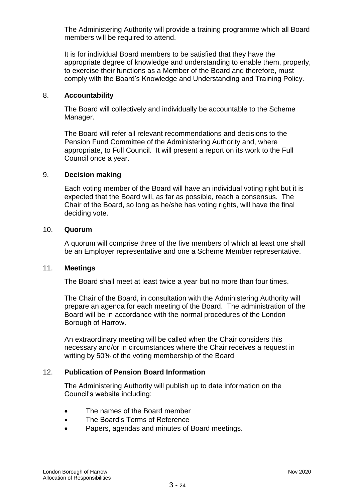The Administering Authority will provide a training programme which all Board members will be required to attend.

It is for individual Board members to be satisfied that they have the appropriate degree of knowledge and understanding to enable them, properly, to exercise their functions as a Member of the Board and therefore, must comply with the Board's Knowledge and Understanding and Training Policy.

#### 8. **Accountability**

The Board will collectively and individually be accountable to the Scheme Manager.

The Board will refer all relevant recommendations and decisions to the Pension Fund Committee of the Administering Authority and, where appropriate, to Full Council. It will present a report on its work to the Full Council once a year.

#### 9. **Decision making**

Each voting member of the Board will have an individual voting right but it is expected that the Board will, as far as possible, reach a consensus. The Chair of the Board, so long as he/she has voting rights, will have the final deciding vote.

#### 10. **Quorum**

A quorum will comprise three of the five members of which at least one shall be an Employer representative and one a Scheme Member representative.

#### 11. **Meetings**

The Board shall meet at least twice a year but no more than four times.

The Chair of the Board, in consultation with the Administering Authority will prepare an agenda for each meeting of the Board. The administration of the Board will be in accordance with the normal procedures of the London Borough of Harrow.

An extraordinary meeting will be called when the Chair considers this necessary and/or in circumstances where the Chair receives a request in writing by 50% of the voting membership of the Board

### 12. **Publication of Pension Board Information**

The Administering Authority will publish up to date information on the Council's website including:

- The names of the Board member
- The Board's Terms of Reference
- Papers, agendas and minutes of Board meetings.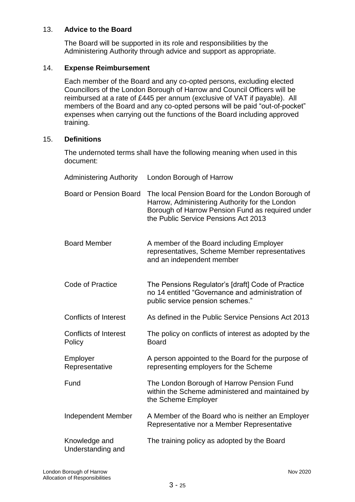### 13. **Advice to the Board**

The Board will be supported in its role and responsibilities by the Administering Authority through advice and support as appropriate.

#### 14. **Expense Reimbursement**

Each member of the Board and any co-opted persons, excluding elected Councillors of the London Borough of Harrow and Council Officers will be reimbursed at a rate of £445 per annum (exclusive of VAT if payable). All members of the Board and any co-opted persons will be paid "out-of-pocket" expenses when carrying out the functions of the Board including approved training.

#### 15. **Definitions**

The undernoted terms shall have the following meaning when used in this document:

| <b>Administering Authority</b>         | London Borough of Harrow                                                                                                                                                                        |
|----------------------------------------|-------------------------------------------------------------------------------------------------------------------------------------------------------------------------------------------------|
| <b>Board or Pension Board</b>          | The local Pension Board for the London Borough of<br>Harrow, Administering Authority for the London<br>Borough of Harrow Pension Fund as required under<br>the Public Service Pensions Act 2013 |
| <b>Board Member</b>                    | A member of the Board including Employer<br>representatives, Scheme Member representatives<br>and an independent member                                                                         |
| Code of Practice                       | The Pensions Regulator's [draft] Code of Practice<br>no 14 entitled "Governance and administration of<br>public service pension schemes."                                                       |
| <b>Conflicts of Interest</b>           | As defined in the Public Service Pensions Act 2013                                                                                                                                              |
| <b>Conflicts of Interest</b><br>Policy | The policy on conflicts of interest as adopted by the<br><b>Board</b>                                                                                                                           |
| Employer<br>Representative             | A person appointed to the Board for the purpose of<br>representing employers for the Scheme                                                                                                     |
| Fund                                   | The London Borough of Harrow Pension Fund<br>within the Scheme administered and maintained by<br>the Scheme Employer                                                                            |
| <b>Independent Member</b>              | A Member of the Board who is neither an Employer<br>Representative nor a Member Representative                                                                                                  |
| Knowledge and<br>Understanding and     | The training policy as adopted by the Board                                                                                                                                                     |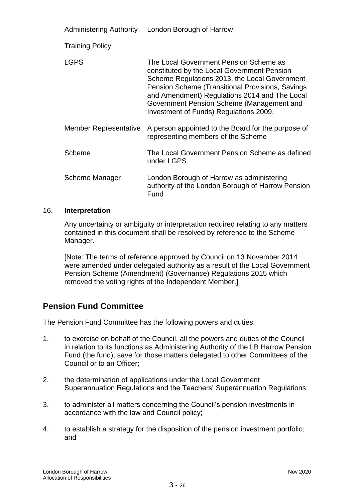| <b>Administering Authority</b> | London Borough of Harrow                                                                                                                                                                                                                                                                                                           |
|--------------------------------|------------------------------------------------------------------------------------------------------------------------------------------------------------------------------------------------------------------------------------------------------------------------------------------------------------------------------------|
| <b>Training Policy</b>         |                                                                                                                                                                                                                                                                                                                                    |
| <b>LGPS</b>                    | The Local Government Pension Scheme as<br>constituted by the Local Government Pension<br>Scheme Regulations 2013, the Local Government<br>Pension Scheme (Transitional Provisions, Savings<br>and Amendment) Regulations 2014 and The Local<br>Government Pension Scheme (Management and<br>Investment of Funds) Regulations 2009. |
| Member Representative          | A person appointed to the Board for the purpose of<br>representing members of the Scheme                                                                                                                                                                                                                                           |
| Scheme                         | The Local Government Pension Scheme as defined<br>under LGPS                                                                                                                                                                                                                                                                       |
| Scheme Manager                 | London Borough of Harrow as administering<br>authority of the London Borough of Harrow Pension<br>Fund                                                                                                                                                                                                                             |

#### 16. **Interpretation**

Any uncertainty or ambiguity or interpretation required relating to any matters contained in this document shall be resolved by reference to the Scheme Manager.

[Note: The terms of reference approved by Council on 13 November 2014 were amended under delegated authority as a result of the Local Government Pension Scheme (Amendment) (Governance) Regulations 2015 which removed the voting rights of the Independent Member.]

# **Pension Fund Committee**

The Pension Fund Committee has the following powers and duties:

- 1. to exercise on behalf of the Council, all the powers and duties of the Council in relation to its functions as Administering Authority of the LB Harrow Pension Fund (the fund), save for those matters delegated to other Committees of the Council or to an Officer;
- 2. the determination of applications under the Local Government Superannuation Regulations and the Teachers' Superannuation Regulations;
- 3. to administer all matters concerning the Council's pension investments in accordance with the law and Council policy;
- 4. to establish a strategy for the disposition of the pension investment portfolio; and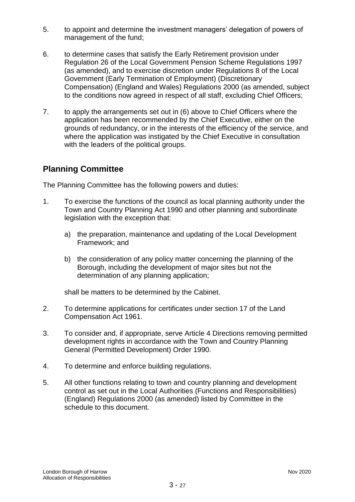- 5. to appoint and determine the investment managers' delegation of powers of management of the fund;
- 6. to determine cases that satisfy the Early Retirement provision under Regulation 26 of the Local Government Pension Scheme Regulations 1997 (as amended), and to exercise discretion under Regulations 8 of the Local Government (Early Termination of Employment) (Discretionary Compensation) (England and Wales) Regulations 2000 (as amended, subject to the conditions now agreed in respect of all staff, excluding Chief Officers;
- 7. to apply the arrangements set out in (6) above to Chief Officers where the application has been recommended by the Chief Executive, either on the grounds of redundancy, or in the interests of the efficiency of the service, and where the application was instigated by the Chief Executive in consultation with the leaders of the political groups.

# **Planning Committee**

The Planning Committee has the following powers and duties:

- 1. To exercise the functions of the council as local planning authority under the Town and Country Planning Act 1990 and other planning and subordinate legislation with the exception that:
	- a) the preparation, maintenance and updating of the Local Development Framework; and
	- b) the consideration of any policy matter concerning the planning of the Borough, including the development of major sites but not the determination of any planning application;

shall be matters to be determined by the Cabinet.

- 2. To determine applications for certificates under section 17 of the Land Compensation Act 1961.
- 3. To consider and, if appropriate, serve Article 4 Directions removing permitted development rights in accordance with the Town and Country Planning General (Permitted Development) Order 1990.
- 4. To determine and enforce building regulations.
- 5. All other functions relating to town and country planning and development control as set out in the Local Authorities (Functions and Responsibilities) (England) Regulations 2000 (as amended) listed by Committee in the schedule to this document.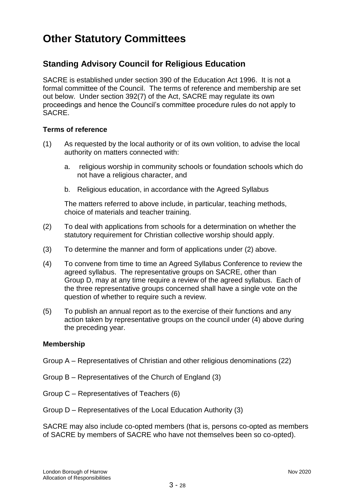# **Other Statutory Committees**

# **Standing Advisory Council for Religious Education**

SACRE is established under section 390 of the Education Act 1996. It is not a formal committee of the Council. The terms of reference and membership are set out below. Under section 392(7) of the Act, SACRE may regulate its own proceedings and hence the Council's committee procedure rules do not apply to SACRE.

### **Terms of reference**

- (1) As requested by the local authority or of its own volition, to advise the local authority on matters connected with:
	- a. religious worship in community schools or foundation schools which do not have a religious character, and
	- b. Religious education, in accordance with the Agreed Syllabus

The matters referred to above include, in particular, teaching methods, choice of materials and teacher training.

- (2) To deal with applications from schools for a determination on whether the statutory requirement for Christian collective worship should apply.
- (3) To determine the manner and form of applications under (2) above.
- (4) To convene from time to time an Agreed Syllabus Conference to review the agreed syllabus. The representative groups on SACRE, other than Group D, may at any time require a review of the agreed syllabus. Each of the three representative groups concerned shall have a single vote on the question of whether to require such a review.
- (5) To publish an annual report as to the exercise of their functions and any action taken by representative groups on the council under (4) above during the preceding year.

### **Membership**

- Group A Representatives of Christian and other religious denominations (22)
- Group B Representatives of the Church of England (3)
- Group C Representatives of Teachers (6)
- Group D Representatives of the Local Education Authority (3)

SACRE may also include co-opted members (that is, persons co-opted as members of SACRE by members of SACRE who have not themselves been so co-opted).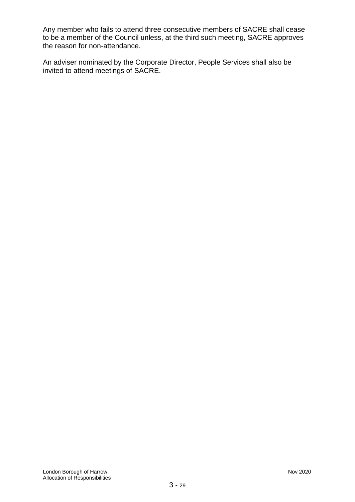Any member who fails to attend three consecutive members of SACRE shall cease to be a member of the Council unless, at the third such meeting, SACRE approves the reason for non-attendance.

An adviser nominated by the Corporate Director, People Services shall also be invited to attend meetings of SACRE.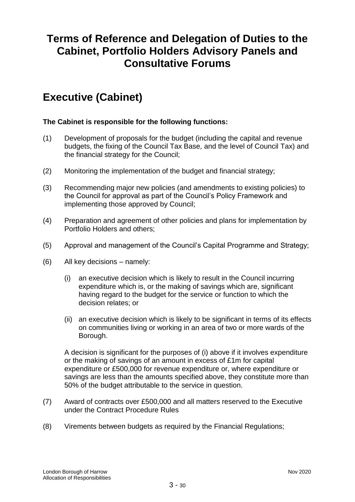# **Terms of Reference and Delegation of Duties to the Cabinet, Portfolio Holders Advisory Panels and Consultative Forums**

# **Executive (Cabinet)**

## **The Cabinet is responsible for the following functions:**

- (1) Development of proposals for the budget (including the capital and revenue budgets, the fixing of the Council Tax Base*,* and the level of Council Tax) and the financial strategy for the Council;
- (2) Monitoring the implementation of the budget and financial strategy;
- (3) Recommending major new policies (and amendments to existing policies) to the Council for approval as part of the Council's Policy Framework and implementing those approved by Council;
- (4) Preparation and agreement of other policies and plans for implementation by Portfolio Holders and others;
- (5) Approval and management of the Council's Capital Programme and Strategy;
- (6) All key decisions namely:
	- (i) an executive decision which is likely to result in the Council incurring expenditure which is, or the making of savings which are, significant having regard to the budget for the service or function to which the decision relates; or
	- (ii) an executive decision which is likely to be significant in terms of its effects on communities living or working in an area of two or more wards of the Borough.

A decision is significant for the purposes of (i) above if it involves expenditure or the making of savings of an amount in excess of £1m for capital expenditure or £500,000 for revenue expenditure or, where expenditure or savings are less than the amounts specified above, they constitute more than 50% of the budget attributable to the service in question.

- (7) Award of contracts over £500,000 and all matters reserved to the Executive under the Contract Procedure Rules
- (8) Virements between budgets as required by the Financial Regulations;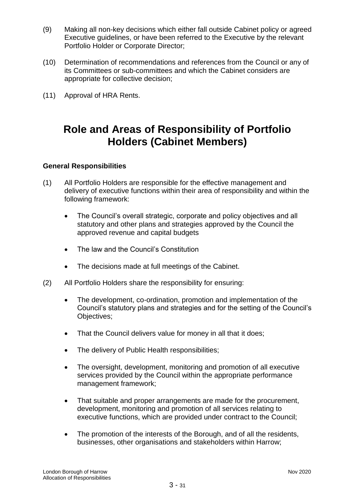- (9) Making all non-key decisions which either fall outside Cabinet policy or agreed Executive guidelines, or have been referred to the Executive by the relevant Portfolio Holder or Corporate Director;
- (10) Determination of recommendations and references from the Council or any of its Committees or sub-committees and which the Cabinet considers are appropriate for collective decision;
- (11) Approval of HRA Rents.

# **Role and Areas of Responsibility of Portfolio Holders (Cabinet Members)**

### **General Responsibilities**

- (1) All Portfolio Holders are responsible for the effective management and delivery of executive functions within their area of responsibility and within the following framework:
	- The Council's overall strategic, corporate and policy objectives and all statutory and other plans and strategies approved by the Council the approved revenue and capital budgets
	- The law and the Council's Constitution
	- The decisions made at full meetings of the Cabinet.
- (2) All Portfolio Holders share the responsibility for ensuring:
	- The development, co-ordination, promotion and implementation of the Council's statutory plans and strategies and for the setting of the Council's Objectives;
	- That the Council delivers value for money in all that it does;
	- The delivery of Public Health responsibilities;
	- The oversight, development, monitoring and promotion of all executive services provided by the Council within the appropriate performance management framework;
	- That suitable and proper arrangements are made for the procurement, development, monitoring and promotion of all services relating to executive functions, which are provided under contract to the Council;
	- The promotion of the interests of the Borough, and of all the residents, businesses, other organisations and stakeholders within Harrow;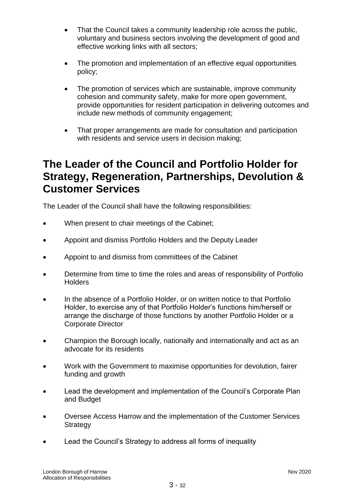- That the Council takes a community leadership role across the public, voluntary and business sectors involving the development of good and effective working links with all sectors;
- The promotion and implementation of an effective equal opportunities policy;
- The promotion of services which are sustainable, improve community cohesion and community safety, make for more open government, provide opportunities for resident participation in delivering outcomes and include new methods of community engagement;
- That proper arrangements are made for consultation and participation with residents and service users in decision making;

# **The Leader of the Council and Portfolio Holder for Strategy, Regeneration, Partnerships, Devolution & Customer Services**

The Leader of the Council shall have the following responsibilities:

- When present to chair meetings of the Cabinet;
- Appoint and dismiss Portfolio Holders and the Deputy Leader
- Appoint to and dismiss from committees of the Cabinet
- Determine from time to time the roles and areas of responsibility of Portfolio **Holders**
- In the absence of a Portfolio Holder, or on written notice to that Portfolio Holder, to exercise any of that Portfolio Holder's functions him/herself or arrange the discharge of those functions by another Portfolio Holder or a Corporate Director
- Champion the Borough locally, nationally and internationally and act as an advocate for its residents
- Work with the Government to maximise opportunities for devolution, fairer funding and growth
- Lead the development and implementation of the Council's Corporate Plan and Budget
- Oversee Access Harrow and the implementation of the Customer Services **Strategy**
- Lead the Council's Strategy to address all forms of inequality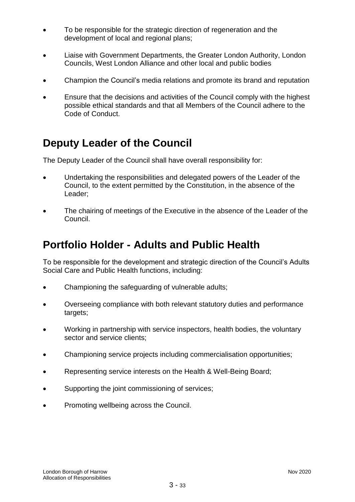- To be responsible for the strategic direction of regeneration and the development of local and regional plans;
- Liaise with Government Departments, the Greater London Authority, London Councils, West London Alliance and other local and public bodies
- Champion the Council's media relations and promote its brand and reputation
- Ensure that the decisions and activities of the Council comply with the highest possible ethical standards and that all Members of the Council adhere to the Code of Conduct.

# **Deputy Leader of the Council**

The Deputy Leader of the Council shall have overall responsibility for:

- Undertaking the responsibilities and delegated powers of the Leader of the Council, to the extent permitted by the Constitution, in the absence of the Leader;
- The chairing of meetings of the Executive in the absence of the Leader of the Council.

# **Portfolio Holder - Adults and Public Health**

To be responsible for the development and strategic direction of the Council's Adults Social Care and Public Health functions, including:

- Championing the safeguarding of vulnerable adults;
- Overseeing compliance with both relevant statutory duties and performance targets;
- Working in partnership with service inspectors, health bodies, the voluntary sector and service clients;
- Championing service projects including commercialisation opportunities;
- Representing service interests on the Health & Well-Being Board;
- Supporting the joint commissioning of services;
- Promoting wellbeing across the Council.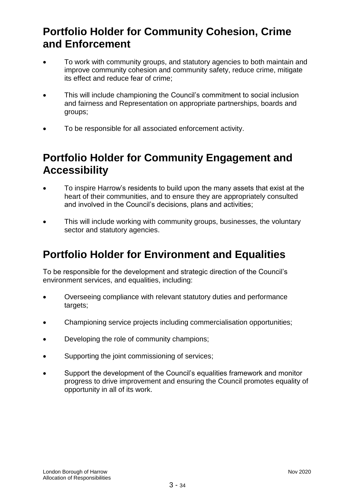# **Portfolio Holder for Community Cohesion, Crime and Enforcement**

- To work with community groups, and statutory agencies to both maintain and improve community cohesion and community safety, reduce crime, mitigate its effect and reduce fear of crime;
- This will include championing the Council's commitment to social inclusion and fairness and Representation on appropriate partnerships, boards and groups;
- To be responsible for all associated enforcement activity.

# **Portfolio Holder for Community Engagement and Accessibility**

- To inspire Harrow's residents to build upon the many assets that exist at the heart of their communities, and to ensure they are appropriately consulted and involved in the Council's decisions, plans and activities;
- This will include working with community groups, businesses, the voluntary sector and statutory agencies.

# **Portfolio Holder for Environment and Equalities**

To be responsible for the development and strategic direction of the Council's environment services, and equalities, including:

- Overseeing compliance with relevant statutory duties and performance targets;
- Championing service projects including commercialisation opportunities;
- Developing the role of community champions;
- Supporting the joint commissioning of services;
- Support the development of the Council's equalities framework and monitor progress to drive improvement and ensuring the Council promotes equality of opportunity in all of its work.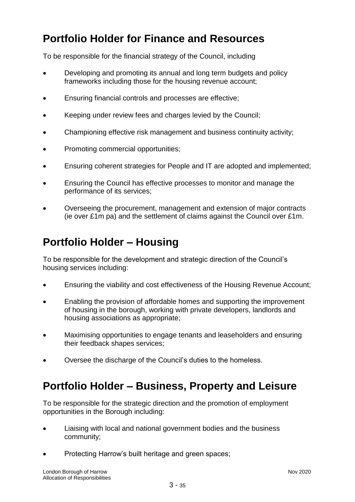# **Portfolio Holder for Finance and Resources**

To be responsible for the financial strategy of the Council, including

- Developing and promoting its annual and long term budgets and policy frameworks including those for the housing revenue account;
- Ensuring financial controls and processes are effective;
- Keeping under review fees and charges levied by the Council;
- Championing effective risk management and business continuity activity;
- Promoting commercial opportunities;
- Ensuring coherent strategies for People and IT are adopted and implemented;
- Ensuring the Council has effective processes to monitor and manage the performance of its services;
- Overseeing the procurement, management and extension of major contracts (ie over £1m pa) and the settlement of claims against the Council over £1m.

# **Portfolio Holder – Housing**

To be responsible for the development and strategic direction of the Council's housing services including:

- Ensuring the viability and cost effectiveness of the Housing Revenue Account;
- Enabling the provision of affordable homes and supporting the improvement of housing in the borough, working with private developers, landlords and housing associations as appropriate;
- Maximising opportunities to engage tenants and leaseholders and ensuring their feedback shapes services;
- Oversee the discharge of the Council's duties to the homeless.

# **Portfolio Holder – Business, Property and Leisure**

To be responsible for the strategic direction and the promotion of employment opportunities in the Borough including:

- Liaising with local and national government bodies and the business community;
- Protecting Harrow's built heritage and green spaces;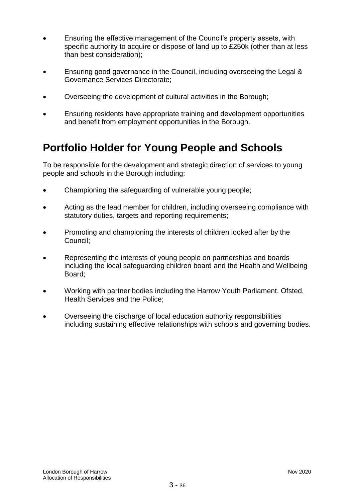- Ensuring the effective management of the Council's property assets, with specific authority to acquire or dispose of land up to £250k (other than at less than best consideration);
- Ensuring good governance in the Council, including overseeing the Legal & Governance Services Directorate;
- Overseeing the development of cultural activities in the Borough;
- Ensuring residents have appropriate training and development opportunities and benefit from employment opportunities in the Borough.

# **Portfolio Holder for Young People and Schools**

To be responsible for the development and strategic direction of services to young people and schools in the Borough including:

- Championing the safeguarding of vulnerable young people;
- Acting as the lead member for children, including overseeing compliance with statutory duties, targets and reporting requirements;
- Promoting and championing the interests of children looked after by the Council;
- Representing the interests of young people on partnerships and boards including the local safeguarding children board and the Health and Wellbeing Board;
- Working with partner bodies including the Harrow Youth Parliament, Ofsted, Health Services and the Police;
- Overseeing the discharge of local education authority responsibilities including sustaining effective relationships with schools and governing bodies.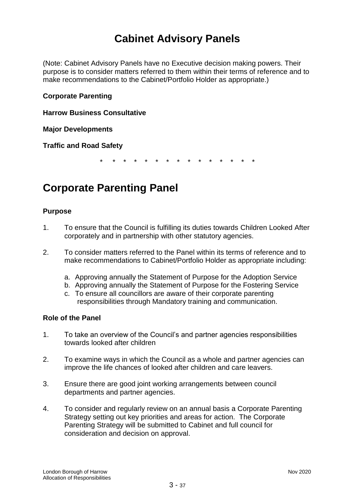# **Cabinet Advisory Panels**

(Note: Cabinet Advisory Panels have no Executive decision making powers. Their purpose is to consider matters referred to them within their terms of reference and to make recommendations to the Cabinet/Portfolio Holder as appropriate.)

### **Corporate Parenting**

**Harrow Business Consultative** 

**Major Developments**

**Traffic and Road Safety**

\* \* \* \* \* \* \* \* \* \* \* \* \* \* \*

# **Corporate Parenting Panel**

### **Purpose**

- 1. To ensure that the Council is fulfilling its duties towards Children Looked After corporately and in partnership with other statutory agencies.
- 2. To consider matters referred to the Panel within its terms of reference and to make recommendations to Cabinet/Portfolio Holder as appropriate including:
	- a. Approving annually the Statement of Purpose for the Adoption Service
	- b. Approving annually the Statement of Purpose for the Fostering Service
	- c. To ensure all councillors are aware of their corporate parenting responsibilities through Mandatory training and communication.

### **Role of the Panel**

- 1. To take an overview of the Council's and partner agencies responsibilities towards looked after children
- 2. To examine ways in which the Council as a whole and partner agencies can improve the life chances of looked after children and care leavers.
- 3. Ensure there are good joint working arrangements between council departments and partner agencies.
- 4. To consider and regularly review on an annual basis a Corporate Parenting Strategy setting out key priorities and areas for action. The Corporate Parenting Strategy will be submitted to Cabinet and full council for consideration and decision on approval.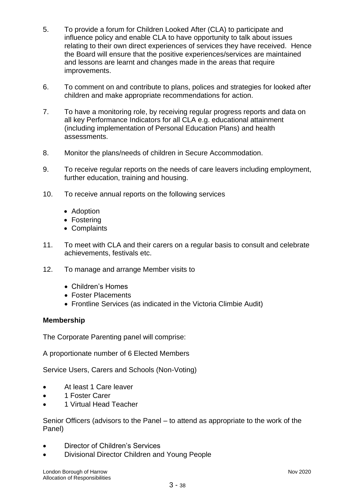- 5. To provide a forum for Children Looked After (CLA) to participate and influence policy and enable CLA to have opportunity to talk about issues relating to their own direct experiences of services they have received. Hence the Board will ensure that the positive experiences/services are maintained and lessons are learnt and changes made in the areas that require improvements.
- 6. To comment on and contribute to plans, polices and strategies for looked after children and make appropriate recommendations for action.
- 7. To have a monitoring role, by receiving regular progress reports and data on all key Performance Indicators for all CLA e.g. educational attainment (including implementation of Personal Education Plans) and health assessments.
- 8. Monitor the plans/needs of children in Secure Accommodation.
- 9. To receive regular reports on the needs of care leavers including employment, further education, training and housing.
- 10. To receive annual reports on the following services
	- Adoption
	- Fostering
	- Complaints
- 11. To meet with CLA and their carers on a regular basis to consult and celebrate achievements, festivals etc.
- 12. To manage and arrange Member visits to
	- Children's Homes
	- Foster Placements
	- Frontline Services (as indicated in the Victoria Climbie Audit)

# **Membership**

The Corporate Parenting panel will comprise:

A proportionate number of 6 Elected Members

Service Users, Carers and Schools (Non-Voting)

- At least 1 Care leaver
- 1 Foster Carer
- 1 Virtual Head Teacher

Senior Officers (advisors to the Panel – to attend as appropriate to the work of the Panel)

- Director of Children's Services
- Divisional Director Children and Young People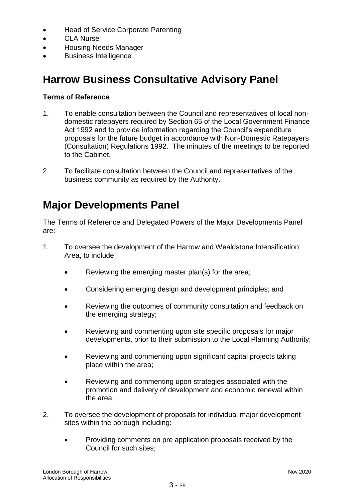- Head of Service Corporate Parenting
- CLA Nurse
- Housing Needs Manager
- Business Intelligence

# **Harrow Business Consultative Advisory Panel**

## **Terms of Reference**

- 1. To enable consultation between the Council and representatives of local nondomestic ratepayers required by Section 65 of the Local Government Finance Act 1992 and to provide information regarding the Council's expenditure proposals for the future budget in accordance with Non-Domestic Ratepayers (Consultation) Regulations 1992. The minutes of the meetings to be reported to the Cabinet.
- 2. To facilitate consultation between the Council and representatives of the business community as required by the Authority.

# **Major Developments Panel**

The Terms of Reference and Delegated Powers of the Major Developments Panel are:

- 1. To oversee the development of the Harrow and Wealdstone Intensification Area, to include:
	- Reviewing the emerging master plan(s) for the area;
	- Considering emerging design and development principles; and
	- Reviewing the outcomes of community consultation and feedback on the emerging strategy;
	- Reviewing and commenting upon site specific proposals for major developments, prior to their submission to the Local Planning Authority;
	- Reviewing and commenting upon significant capital projects taking place within the area;
	- Reviewing and commenting upon strategies associated with the promotion and delivery of development and economic renewal within the area.
- 2. To oversee the development of proposals for individual major development sites within the borough including:
	- Providing comments on pre application proposals received by the Council for such sites;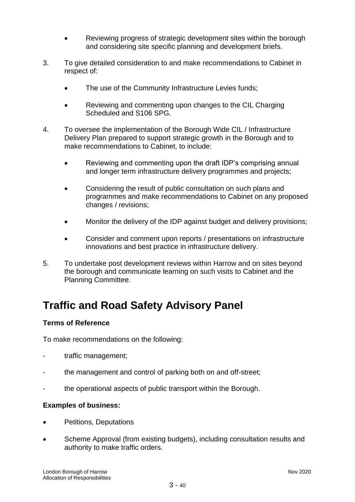- Reviewing progress of strategic development sites within the borough and considering site specific planning and development briefs.
- 3. To give detailed consideration to and make recommendations to Cabinet in respect of:
	- The use of the Community Infrastructure Levies funds;
	- Reviewing and commenting upon changes to the CIL Charging Scheduled and S106 SPG.
- 4. To oversee the implementation of the Borough Wide CIL / Infrastructure Delivery Plan prepared to support strategic growth in the Borough and to make recommendations to Cabinet, to include:
	- Reviewing and commenting upon the draft IDP's comprising annual and longer term infrastructure delivery programmes and projects;
	- Considering the result of public consultation on such plans and programmes and make recommendations to Cabinet on any proposed changes / revisions;
	- Monitor the delivery of the IDP against budget and delivery provisions;
	- Consider and comment upon reports / presentations on infrastructure innovations and best practice in infrastructure delivery.
- 5. To undertake post development reviews within Harrow and on sites beyond the borough and communicate learning on such visits to Cabinet and the Planning Committee.

# **Traffic and Road Safety Advisory Panel**

# **Terms of Reference**

To make recommendations on the following:

- traffic management;
- the management and control of parking both on and off-street;
- the operational aspects of public transport within the Borough.

# **Examples of business:**

- Petitions, Deputations
- Scheme Approval (from existing budgets), including consultation results and authority to make traffic orders.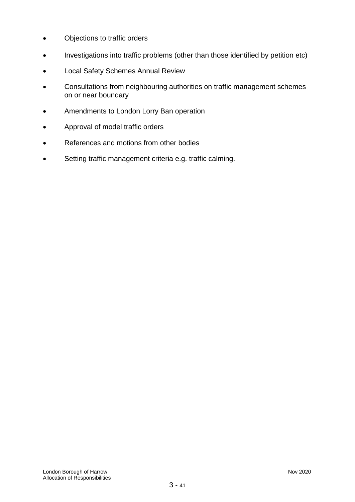- Objections to traffic orders
- Investigations into traffic problems (other than those identified by petition etc)
- Local Safety Schemes Annual Review
- Consultations from neighbouring authorities on traffic management schemes on or near boundary
- Amendments to London Lorry Ban operation
- Approval of model traffic orders
- References and motions from other bodies
- Setting traffic management criteria e.g. traffic calming.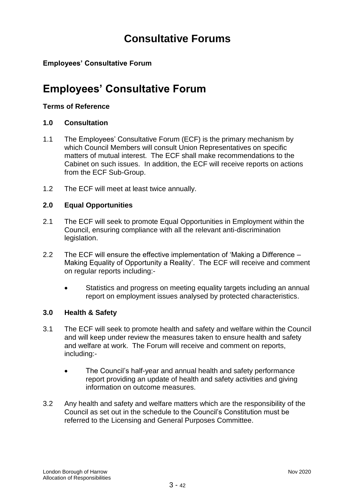# **Consultative Forums**

# **Employees' Consultative Forum**

# **Employees' Consultative Forum**

### **Terms of Reference**

## **1.0 Consultation**

- 1.1 The Employees' Consultative Forum (ECF) is the primary mechanism by which Council Members will consult Union Representatives on specific matters of mutual interest. The ECF shall make recommendations to the Cabinet on such issues. In addition, the ECF will receive reports on actions from the ECF Sub-Group.
- 1.2 The ECF will meet at least twice annually.

## **2.0 Equal Opportunities**

- 2.1 The ECF will seek to promote Equal Opportunities in Employment within the Council, ensuring compliance with all the relevant anti-discrimination legislation.
- 2.2 The ECF will ensure the effective implementation of 'Making a Difference Making Equality of Opportunity a Reality'. The ECF will receive and comment on regular reports including:-
	- Statistics and progress on meeting equality targets including an annual report on employment issues analysed by protected characteristics.

### **3.0 Health & Safety**

- 3.1 The ECF will seek to promote health and safety and welfare within the Council and will keep under review the measures taken to ensure health and safety and welfare at work. The Forum will receive and comment on reports, including:-
	- The Council's half-year and annual health and safety performance report providing an update of health and safety activities and giving information on outcome measures.
- 3.2 Any health and safety and welfare matters which are the responsibility of the Council as set out in the schedule to the Council's Constitution must be referred to the Licensing and General Purposes Committee.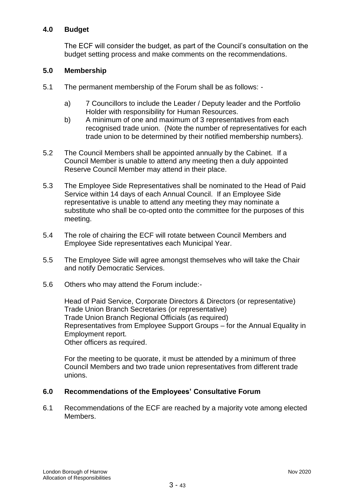### **4.0 Budget**

The ECF will consider the budget, as part of the Council's consultation on the budget setting process and make comments on the recommendations.

### **5.0 Membership**

- 5.1 The permanent membership of the Forum shall be as follows:
	- a) 7 Councillors to include the Leader / Deputy leader and the Portfolio Holder with responsibility for Human Resources.
	- b) A minimum of one and maximum of 3 representatives from each recognised trade union. (Note the number of representatives for each trade union to be determined by their notified membership numbers).
- 5.2 The Council Members shall be appointed annually by the Cabinet. If a Council Member is unable to attend any meeting then a duly appointed Reserve Council Member may attend in their place.
- 5.3 The Employee Side Representatives shall be nominated to the Head of Paid Service within 14 days of each Annual Council. If an Employee Side representative is unable to attend any meeting they may nominate a substitute who shall be co-opted onto the committee for the purposes of this meeting.
- 5.4 The role of chairing the ECF will rotate between Council Members and Employee Side representatives each Municipal Year.
- 5.5 The Employee Side will agree amongst themselves who will take the Chair and notify Democratic Services.
- 5.6 Others who may attend the Forum include:-

Head of Paid Service, Corporate Directors & Directors (or representative) Trade Union Branch Secretaries (or representative) Trade Union Branch Regional Officials (as required) Representatives from Employee Support Groups – for the Annual Equality in Employment report. Other officers as required.

For the meeting to be quorate, it must be attended by a minimum of three Council Members and two trade union representatives from different trade unions.

### **6.0 Recommendations of the Employees' Consultative Forum**

6.1 Recommendations of the ECF are reached by a majority vote among elected Members.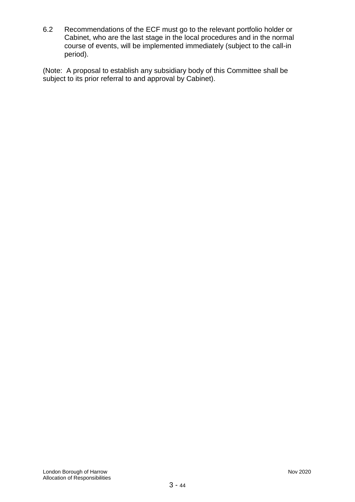6.2 Recommendations of the ECF must go to the relevant portfolio holder or Cabinet, who are the last stage in the local procedures and in the normal course of events, will be implemented immediately (subject to the call-in period).

(Note: A proposal to establish any subsidiary body of this Committee shall be subject to its prior referral to and approval by Cabinet).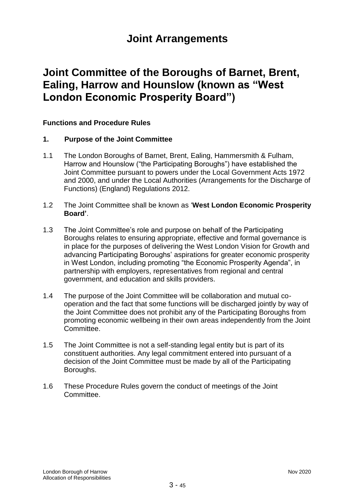# **Joint Arrangements**

# **Joint Committee of the Boroughs of Barnet, Brent, Ealing, Harrow and Hounslow (known as "West London Economic Prosperity Board")**

## **Functions and Procedure Rules**

### **1. Purpose of the Joint Committee**

- 1.1 The London Boroughs of Barnet, Brent, Ealing, Hammersmith & Fulham, Harrow and Hounslow ("the Participating Boroughs") have established the Joint Committee pursuant to powers under the Local Government Acts 1972 and 2000, and under the Local Authorities (Arrangements for the Discharge of Functions) (England) Regulations 2012.
- 1.2 The Joint Committee shall be known as '**West London Economic Prosperity Board'**.
- 1.3 The Joint Committee's role and purpose on behalf of the Participating Boroughs relates to ensuring appropriate, effective and formal governance is in place for the purposes of delivering the West London Vision for Growth and advancing Participating Boroughs' aspirations for greater economic prosperity in West London, including promoting "the Economic Prosperity Agenda", in partnership with employers, representatives from regional and central government, and education and skills providers.
- 1.4 The purpose of the Joint Committee will be collaboration and mutual cooperation and the fact that some functions will be discharged jointly by way of the Joint Committee does not prohibit any of the Participating Boroughs from promoting economic wellbeing in their own areas independently from the Joint Committee.
- 1.5 The Joint Committee is not a self-standing legal entity but is part of its constituent authorities. Any legal commitment entered into pursuant of a decision of the Joint Committee must be made by all of the Participating Boroughs.
- 1.6 These Procedure Rules govern the conduct of meetings of the Joint Committee.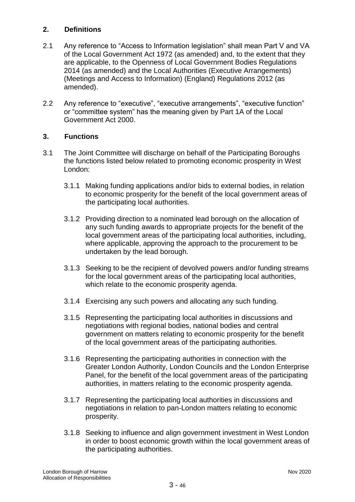# **2. Definitions**

- 2.1 Any reference to "Access to Information legislation" shall mean Part V and VA of the Local Government Act 1972 (as amended) and, to the extent that they are applicable, to the Openness of Local Government Bodies Regulations 2014 (as amended) and the Local Authorities (Executive Arrangements) (Meetings and Access to Information) (England) Regulations 2012 (as amended).
- 2.2 Any reference to "executive", "executive arrangements", "executive function" or "committee system" has the meaning given by Part 1A of the Local Government Act 2000.

### **3. Functions**

- 3.1 The Joint Committee will discharge on behalf of the Participating Boroughs the functions listed below related to promoting economic prosperity in West London:
	- 3.1.1 Making funding applications and/or bids to external bodies, in relation to economic prosperity for the benefit of the local government areas of the participating local authorities.
	- 3.1.2 Providing direction to a nominated lead borough on the allocation of any such funding awards to appropriate projects for the benefit of the local government areas of the participating local authorities, including, where applicable, approving the approach to the procurement to be undertaken by the lead borough.
	- 3.1.3 Seeking to be the recipient of devolved powers and/or funding streams for the local government areas of the participating local authorities, which relate to the economic prosperity agenda.
	- 3.1.4 Exercising any such powers and allocating any such funding.
	- 3.1.5 Representing the participating local authorities in discussions and negotiations with regional bodies, national bodies and central government on matters relating to economic prosperity for the benefit of the local government areas of the participating authorities.
	- 3.1.6 Representing the participating authorities in connection with the Greater London Authority, London Councils and the London Enterprise Panel, for the benefit of the local government areas of the participating authorities, in matters relating to the economic prosperity agenda.
	- 3.1.7 Representing the participating local authorities in discussions and negotiations in relation to pan-London matters relating to economic prosperity.
	- 3.1.8 Seeking to influence and align government investment in West London in order to boost economic growth within the local government areas of the participating authorities.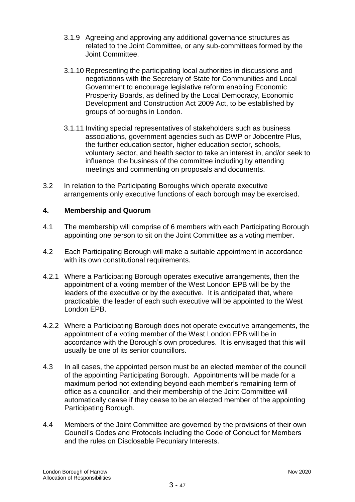- 3.1.9 Agreeing and approving any additional governance structures as related to the Joint Committee, or any sub-committees formed by the Joint Committee.
- 3.1.10 Representing the participating local authorities in discussions and negotiations with the Secretary of State for Communities and Local Government to encourage legislative reform enabling Economic Prosperity Boards, as defined by the Local Democracy, Economic Development and Construction Act 2009 Act, to be established by groups of boroughs in London.
- 3.1.11 Inviting special representatives of stakeholders such as business associations, government agencies such as DWP or Jobcentre Plus, the further education sector, higher education sector, schools, voluntary sector, and health sector to take an interest in, and/or seek to influence, the business of the committee including by attending meetings and commenting on proposals and documents.
- 3.2 In relation to the Participating Boroughs which operate executive arrangements only executive functions of each borough may be exercised.

## **4. Membership and Quorum**

- 4.1 The membership will comprise of 6 members with each Participating Borough appointing one person to sit on the Joint Committee as a voting member.
- 4.2 Each Participating Borough will make a suitable appointment in accordance with its own constitutional requirements.
- 4.2.1 Where a Participating Borough operates executive arrangements, then the appointment of a voting member of the West London EPB will be by the leaders of the executive or by the executive. It is anticipated that, where practicable, the leader of each such executive will be appointed to the West London EPB.
- 4.2.2 Where a Participating Borough does not operate executive arrangements, the appointment of a voting member of the West London EPB will be in accordance with the Borough's own procedures. It is envisaged that this will usually be one of its senior councillors.
- 4.3 In all cases, the appointed person must be an elected member of the council of the appointing Participating Borough. Appointments will be made for a maximum period not extending beyond each member's remaining term of office as a councillor, and their membership of the Joint Committee will automatically cease if they cease to be an elected member of the appointing Participating Borough.
- 4.4 Members of the Joint Committee are governed by the provisions of their own Council's Codes and Protocols including the Code of Conduct for Members and the rules on Disclosable Pecuniary Interests.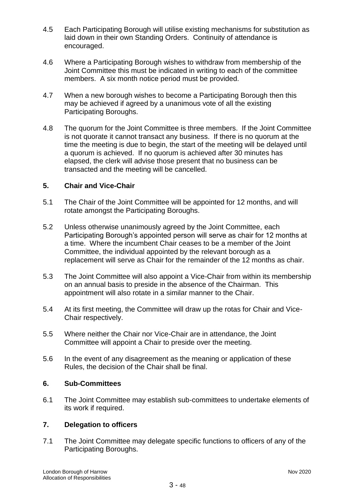- 4.5 Each Participating Borough will utilise existing mechanisms for substitution as laid down in their own Standing Orders. Continuity of attendance is encouraged.
- 4.6 Where a Participating Borough wishes to withdraw from membership of the Joint Committee this must be indicated in writing to each of the committee members. A six month notice period must be provided.
- 4.7 When a new borough wishes to become a Participating Borough then this may be achieved if agreed by a unanimous vote of all the existing Participating Boroughs.
- 4.8 The quorum for the Joint Committee is three members. If the Joint Committee is not quorate it cannot transact any business. If there is no quorum at the time the meeting is due to begin, the start of the meeting will be delayed until a quorum is achieved. If no quorum is achieved after 30 minutes has elapsed, the clerk will advise those present that no business can be transacted and the meeting will be cancelled.

### **5. Chair and Vice-Chair**

- 5.1 The Chair of the Joint Committee will be appointed for 12 months, and will rotate amongst the Participating Boroughs.
- 5.2 Unless otherwise unanimously agreed by the Joint Committee, each Participating Borough's appointed person will serve as chair for 12 months at a time. Where the incumbent Chair ceases to be a member of the Joint Committee, the individual appointed by the relevant borough as a replacement will serve as Chair for the remainder of the 12 months as chair.
- 5.3 The Joint Committee will also appoint a Vice-Chair from within its membership on an annual basis to preside in the absence of the Chairman. This appointment will also rotate in a similar manner to the Chair.
- 5.4 At its first meeting, the Committee will draw up the rotas for Chair and Vice-Chair respectively.
- 5.5 Where neither the Chair nor Vice-Chair are in attendance, the Joint Committee will appoint a Chair to preside over the meeting.
- 5.6 In the event of any disagreement as the meaning or application of these Rules, the decision of the Chair shall be final.

### **6. Sub-Committees**

6.1 The Joint Committee may establish sub-committees to undertake elements of its work if required.

### **7. Delegation to officers**

7.1 The Joint Committee may delegate specific functions to officers of any of the Participating Boroughs.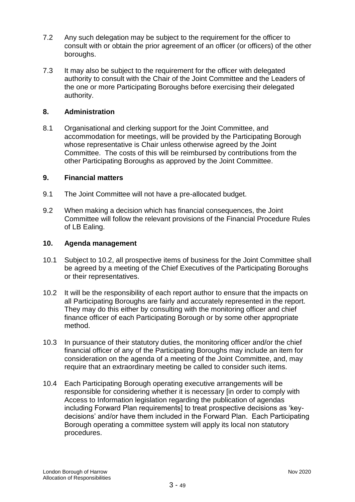- 7.2 Any such delegation may be subject to the requirement for the officer to consult with or obtain the prior agreement of an officer (or officers) of the other boroughs.
- 7.3 It may also be subject to the requirement for the officer with delegated authority to consult with the Chair of the Joint Committee and the Leaders of the one or more Participating Boroughs before exercising their delegated authority.

### **8. Administration**

8.1 Organisational and clerking support for the Joint Committee, and accommodation for meetings, will be provided by the Participating Borough whose representative is Chair unless otherwise agreed by the Joint Committee. The costs of this will be reimbursed by contributions from the other Participating Boroughs as approved by the Joint Committee.

### **9. Financial matters**

- 9.1 The Joint Committee will not have a pre-allocated budget.
- 9.2 When making a decision which has financial consequences, the Joint Committee will follow the relevant provisions of the Financial Procedure Rules of LB Ealing.

#### **10. Agenda management**

- 10.1 Subject to 10.2, all prospective items of business for the Joint Committee shall be agreed by a meeting of the Chief Executives of the Participating Boroughs or their representatives.
- 10.2 It will be the responsibility of each report author to ensure that the impacts on all Participating Boroughs are fairly and accurately represented in the report. They may do this either by consulting with the monitoring officer and chief finance officer of each Participating Borough or by some other appropriate method.
- 10.3 In pursuance of their statutory duties, the monitoring officer and/or the chief financial officer of any of the Participating Boroughs may include an item for consideration on the agenda of a meeting of the Joint Committee, and, may require that an extraordinary meeting be called to consider such items.
- 10.4 Each Participating Borough operating executive arrangements will be responsible for considering whether it is necessary [in order to comply with Access to Information legislation regarding the publication of agendas including Forward Plan requirements] to treat prospective decisions as 'keydecisions' and/or have them included in the Forward Plan. Each Participating Borough operating a committee system will apply its local non statutory procedures.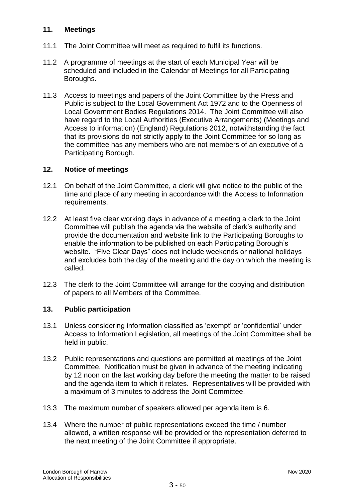### **11. Meetings**

- 11.1 The Joint Committee will meet as required to fulfil its functions.
- 11.2 A programme of meetings at the start of each Municipal Year will be scheduled and included in the Calendar of Meetings for all Participating Boroughs.
- 11.3 Access to meetings and papers of the Joint Committee by the Press and Public is subject to the Local Government Act 1972 and to the Openness of Local Government Bodies Regulations 2014. The Joint Committee will also have regard to the Local Authorities (Executive Arrangements) (Meetings and Access to information) (England) Regulations 2012, notwithstanding the fact that its provisions do not strictly apply to the Joint Committee for so long as the committee has any members who are not members of an executive of a Participating Borough.

## **12. Notice of meetings**

- 12.1 On behalf of the Joint Committee, a clerk will give notice to the public of the time and place of any meeting in accordance with the Access to Information requirements.
- 12.2 At least five clear working days in advance of a meeting a clerk to the Joint Committee will publish the agenda via the website of clerk's authority and provide the documentation and website link to the Participating Boroughs to enable the information to be published on each Participating Borough's website. "Five Clear Days" does not include weekends or national holidays and excludes both the day of the meeting and the day on which the meeting is called.
- 12.3 The clerk to the Joint Committee will arrange for the copying and distribution of papers to all Members of the Committee.

### **13. Public participation**

- 13.1 Unless considering information classified as 'exempt' or 'confidential' under Access to Information Legislation, all meetings of the Joint Committee shall be held in public.
- 13.2 Public representations and questions are permitted at meetings of the Joint Committee. Notification must be given in advance of the meeting indicating by 12 noon on the last working day before the meeting the matter to be raised and the agenda item to which it relates. Representatives will be provided with a maximum of 3 minutes to address the Joint Committee.
- 13.3 The maximum number of speakers allowed per agenda item is 6.
- 13.4 Where the number of public representations exceed the time / number allowed, a written response will be provided or the representation deferred to the next meeting of the Joint Committee if appropriate.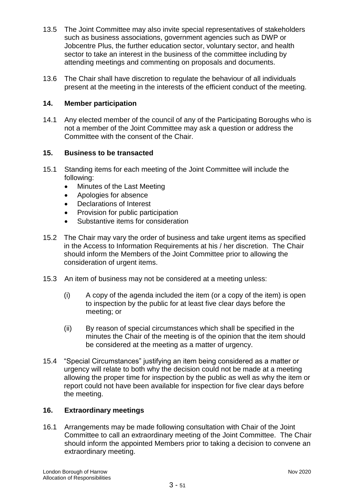- 13.5 The Joint Committee may also invite special representatives of stakeholders such as business associations, government agencies such as DWP or Jobcentre Plus, the further education sector, voluntary sector, and health sector to take an interest in the business of the committee including by attending meetings and commenting on proposals and documents.
- 13.6 The Chair shall have discretion to regulate the behaviour of all individuals present at the meeting in the interests of the efficient conduct of the meeting.

### **14. Member participation**

14.1 Any elected member of the council of any of the Participating Boroughs who is not a member of the Joint Committee may ask a question or address the Committee with the consent of the Chair.

## **15. Business to be transacted**

- 15.1 Standing items for each meeting of the Joint Committee will include the following:
	- Minutes of the Last Meeting
	- Apologies for absence
	- Declarations of Interest
	- Provision for public participation
	- Substantive items for consideration
- 15.2 The Chair may vary the order of business and take urgent items as specified in the Access to Information Requirements at his / her discretion. The Chair should inform the Members of the Joint Committee prior to allowing the consideration of urgent items.
- 15.3 An item of business may not be considered at a meeting unless:
	- (i) A copy of the agenda included the item (or a copy of the item) is open to inspection by the public for at least five clear days before the meeting; or
	- (ii) By reason of special circumstances which shall be specified in the minutes the Chair of the meeting is of the opinion that the item should be considered at the meeting as a matter of urgency.
- 15.4 "Special Circumstances" justifying an item being considered as a matter or urgency will relate to both why the decision could not be made at a meeting allowing the proper time for inspection by the public as well as why the item or report could not have been available for inspection for five clear days before the meeting.

### **16. Extraordinary meetings**

16.1 Arrangements may be made following consultation with Chair of the Joint Committee to call an extraordinary meeting of the Joint Committee. The Chair should inform the appointed Members prior to taking a decision to convene an extraordinary meeting.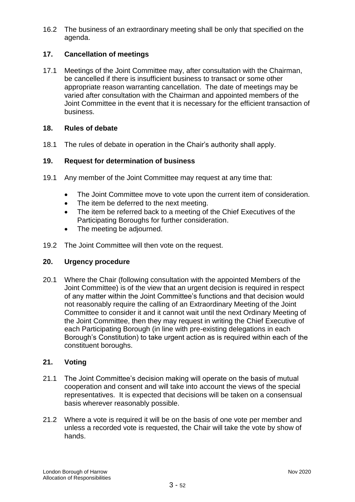16.2 The business of an extraordinary meeting shall be only that specified on the agenda.

# **17. Cancellation of meetings**

17.1 Meetings of the Joint Committee may, after consultation with the Chairman, be cancelled if there is insufficient business to transact or some other appropriate reason warranting cancellation. The date of meetings may be varied after consultation with the Chairman and appointed members of the Joint Committee in the event that it is necessary for the efficient transaction of business.

## **18. Rules of debate**

18.1 The rules of debate in operation in the Chair's authority shall apply.

## **19. Request for determination of business**

- 19.1 Any member of the Joint Committee may request at any time that:
	- The Joint Committee move to vote upon the current item of consideration.
	- The item be deferred to the next meeting.
	- The item be referred back to a meeting of the Chief Executives of the Participating Boroughs for further consideration.
	- The meeting be adjourned.
- 19.2 The Joint Committee will then vote on the request.

### **20. Urgency procedure**

20.1 Where the Chair (following consultation with the appointed Members of the Joint Committee) is of the view that an urgent decision is required in respect of any matter within the Joint Committee's functions and that decision would not reasonably require the calling of an Extraordinary Meeting of the Joint Committee to consider it and it cannot wait until the next Ordinary Meeting of the Joint Committee, then they may request in writing the Chief Executive of each Participating Borough (in line with pre-existing delegations in each Borough's Constitution) to take urgent action as is required within each of the constituent boroughs.

### **21. Voting**

- 21.1 The Joint Committee's decision making will operate on the basis of mutual cooperation and consent and will take into account the views of the special representatives. It is expected that decisions will be taken on a consensual basis wherever reasonably possible.
- 21.2 Where a vote is required it will be on the basis of one vote per member and unless a recorded vote is requested, the Chair will take the vote by show of hands.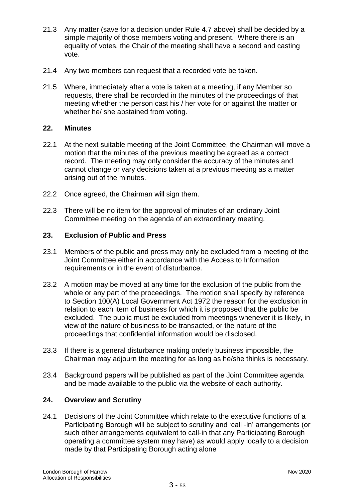- 21.3 Any matter (save for a decision under Rule 4.7 above) shall be decided by a simple majority of those members voting and present. Where there is an equality of votes, the Chair of the meeting shall have a second and casting vote.
- 21.4 Any two members can request that a recorded vote be taken.
- 21.5 Where, immediately after a vote is taken at a meeting, if any Member so requests, there shall be recorded in the minutes of the proceedings of that meeting whether the person cast his / her vote for or against the matter or whether he/ she abstained from voting.

## **22. Minutes**

- 22.1 At the next suitable meeting of the Joint Committee, the Chairman will move a motion that the minutes of the previous meeting be agreed as a correct record. The meeting may only consider the accuracy of the minutes and cannot change or vary decisions taken at a previous meeting as a matter arising out of the minutes.
- 22.2 Once agreed, the Chairman will sign them.
- 22.3 There will be no item for the approval of minutes of an ordinary Joint Committee meeting on the agenda of an extraordinary meeting.

## **23. Exclusion of Public and Press**

- 23.1 Members of the public and press may only be excluded from a meeting of the Joint Committee either in accordance with the Access to Information requirements or in the event of disturbance.
- 23.2 A motion may be moved at any time for the exclusion of the public from the whole or any part of the proceedings. The motion shall specify by reference to Section 100(A) Local Government Act 1972 the reason for the exclusion in relation to each item of business for which it is proposed that the public be excluded. The public must be excluded from meetings whenever it is likely, in view of the nature of business to be transacted, or the nature of the proceedings that confidential information would be disclosed.
- 23.3 If there is a general disturbance making orderly business impossible, the Chairman may adjourn the meeting for as long as he/she thinks is necessary.
- 23.4 Background papers will be published as part of the Joint Committee agenda and be made available to the public via the website of each authority.

### **24. Overview and Scrutiny**

24.1 Decisions of the Joint Committee which relate to the executive functions of a Participating Borough will be subject to scrutiny and 'call -in' arrangements (or such other arrangements equivalent to call-in that any Participating Borough operating a committee system may have) as would apply locally to a decision made by that Participating Borough acting alone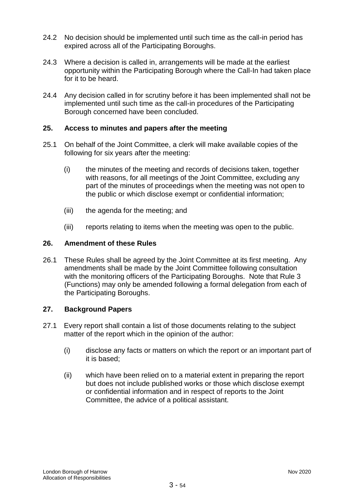- 24.2 No decision should be implemented until such time as the call-in period has expired across all of the Participating Boroughs.
- 24.3 Where a decision is called in, arrangements will be made at the earliest opportunity within the Participating Borough where the Call-In had taken place for it to be heard.
- 24.4 Any decision called in for scrutiny before it has been implemented shall not be implemented until such time as the call-in procedures of the Participating Borough concerned have been concluded.

## **25. Access to minutes and papers after the meeting**

- 25.1 On behalf of the Joint Committee, a clerk will make available copies of the following for six years after the meeting:
	- (i) the minutes of the meeting and records of decisions taken, together with reasons, for all meetings of the Joint Committee, excluding any part of the minutes of proceedings when the meeting was not open to the public or which disclose exempt or confidential information;
	- (iii) the agenda for the meeting; and
	- (iii) reports relating to items when the meeting was open to the public.

### **26. Amendment of these Rules**

26.1 These Rules shall be agreed by the Joint Committee at its first meeting. Any amendments shall be made by the Joint Committee following consultation with the monitoring officers of the Participating Boroughs. Note that Rule 3 (Functions) may only be amended following a formal delegation from each of the Participating Boroughs.

### **27. Background Papers**

- 27.1 Every report shall contain a list of those documents relating to the subject matter of the report which in the opinion of the author:
	- (i) disclose any facts or matters on which the report or an important part of it is based;
	- (ii) which have been relied on to a material extent in preparing the report but does not include published works or those which disclose exempt or confidential information and in respect of reports to the Joint Committee, the advice of a political assistant.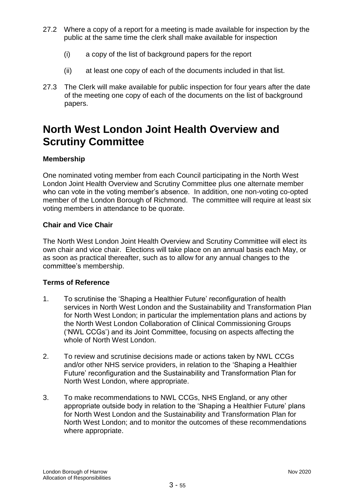- 27.2 Where a copy of a report for a meeting is made available for inspection by the public at the same time the clerk shall make available for inspection
	- (i) a copy of the list of background papers for the report
	- (ii) at least one copy of each of the documents included in that list.
- 27.3 The Clerk will make available for public inspection for four years after the date of the meeting one copy of each of the documents on the list of background papers.

# **North West London Joint Health Overview and Scrutiny Committee**

# **Membership**

One nominated voting member from each Council participating in the North West London Joint Health Overview and Scrutiny Committee plus one alternate member who can vote in the voting member's absence. In addition, one non-voting co-opted member of the London Borough of Richmond. The committee will require at least six voting members in attendance to be quorate.

# **Chair and Vice Chair**

The North West London Joint Health Overview and Scrutiny Committee will elect its own chair and vice chair. Elections will take place on an annual basis each May, or as soon as practical thereafter, such as to allow for any annual changes to the committee's membership.

# **Terms of Reference**

- 1. To scrutinise the 'Shaping a Healthier Future' reconfiguration of health services in North West London and the Sustainability and Transformation Plan for North West London; in particular the implementation plans and actions by the North West London Collaboration of Clinical Commissioning Groups ('NWL CCGs') and its Joint Committee, focusing on aspects affecting the whole of North West London.
- 2. To review and scrutinise decisions made or actions taken by NWL CCGs and/or other NHS service providers, in relation to the 'Shaping a Healthier Future' reconfiguration and the Sustainability and Transformation Plan for North West London, where appropriate.
- 3. To make recommendations to NWL CCGs, NHS England, or any other appropriate outside body in relation to the 'Shaping a Healthier Future' plans for North West London and the Sustainability and Transformation Plan for North West London; and to monitor the outcomes of these recommendations where appropriate.